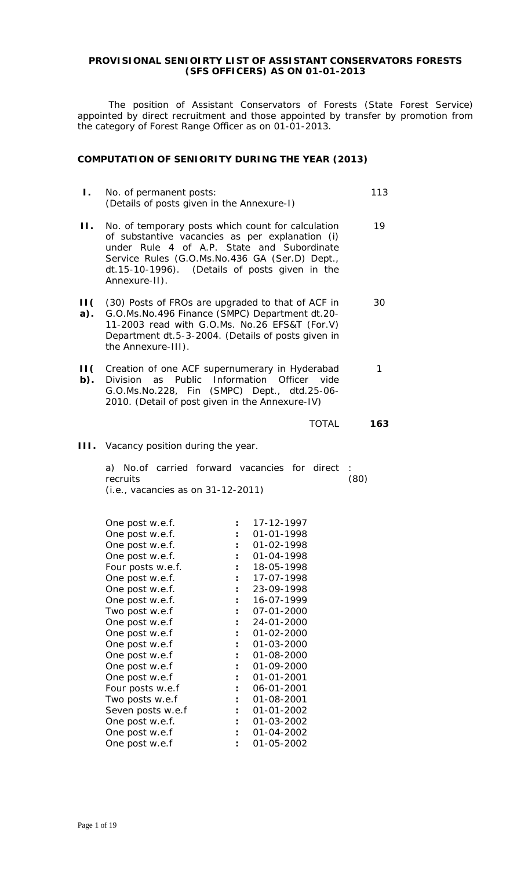### **PROVISIONAL SENIOIRTY LIST OF ASSISTANT CONSERVATORS FORESTS (SFS OFFICERS) AS ON 01-01-2013**

The position of Assistant Conservators of Forests (State Forest Service) appointed by direct recruitment and those appointed by transfer by promotion from the category of Forest Range Officer as on 01-01-2013.

### **COMPUTATION OF SENIORITY DURING THE YEAR (2013)**

| Ι.                              | No. of permanent posts:                                                                                                                                                                                                                          | (Details of posts given in the Annexure-I)                                                                                                                                                                                                                 | 113  |
|---------------------------------|--------------------------------------------------------------------------------------------------------------------------------------------------------------------------------------------------------------------------------------------------|------------------------------------------------------------------------------------------------------------------------------------------------------------------------------------------------------------------------------------------------------------|------|
| П.                              | Annexure-II).                                                                                                                                                                                                                                    | No. of temporary posts which count for calculation<br>of substantive vacancies as per explanation (i)<br>under Rule 4 of A.P. State and Subordinate<br>Service Rules (G.O.Ms.No.436 GA (Ser.D) Dept.,<br>dt.15-10-1996). (Details of posts given in the    | 19   |
| $\mathsf{H}(\mathsf{I})$<br>a). | the Annexure-III).                                                                                                                                                                                                                               | (30) Posts of FROs are upgraded to that of ACF in<br>G.O.Ms.No.496 Finance (SMPC) Department dt.20-<br>11-2003 read with G.O.Ms. No.26 EFS&T (For.V)<br>Department dt.5-3-2004. (Details of posts given in                                                 | 30   |
| $\mathsf{H}(\mathsf{C})$<br>b). | <b>Division</b><br>as                                                                                                                                                                                                                            | Creation of one ACF supernumerary in Hyderabad<br>Public Information<br>Officer vide<br>G.O.Ms.No.228, Fin (SMPC) Dept., dtd.25-06-<br>2010. (Detail of post given in the Annexure-IV)                                                                     | 1    |
|                                 |                                                                                                                                                                                                                                                  | <b>TOTAL</b>                                                                                                                                                                                                                                               | 163  |
| HL.                             | Vacancy position during the year.                                                                                                                                                                                                                |                                                                                                                                                                                                                                                            |      |
|                                 | recruits<br>(i.e., vacancies as on 31-12-2011)                                                                                                                                                                                                   | a) No. of carried forward vacancies for direct                                                                                                                                                                                                             | (80) |
|                                 | One post w.e.f.<br>One post w.e.f.<br>One post w.e.f.<br>One post w.e.f.<br>Four posts w.e.f.<br>One post w.e.f.<br>One post w.e.f.<br>One post w.e.f.<br>Two post w.e.f<br>One post w.e.f<br>One post w.e.f<br>One post w.e.f<br>One post w.e.f | 17-12-1997<br>01-01-1998<br>01-02-1998<br>$\ddot{\phantom{a}}$<br>$\ddot{\cdot}$<br>01-04-1998<br>18-05-1998<br>$\ddot{\phantom{a}}$<br>17-07-1998<br>23-09-1998<br>16-07-1999<br>07-01-2000<br>24-01-2000<br>$01 - 02 - 2000$<br>01-03-2000<br>01-08-2000 |      |

One post w.e.f **:** 01-04-2002 One post w.e.f **:** 01-05-2002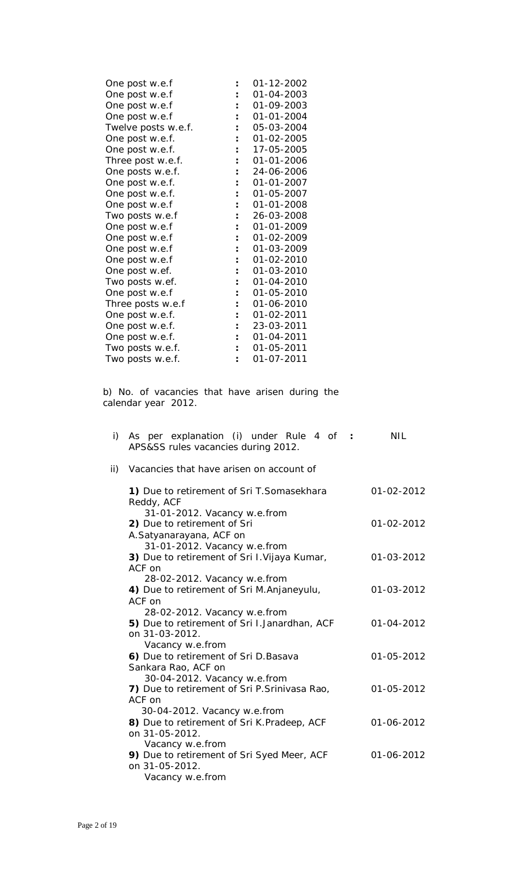| One post w.e.f      |                | 01-12-2002       |
|---------------------|----------------|------------------|
| One post w.e.f      |                | 01-04-2003       |
| One post w.e.f      |                | 01-09-2003       |
| One post w.e.f      |                | 01-01-2004       |
| Twelve posts w.e.f. |                | 05-03-2004       |
| One post w.e.f.     |                | 01-02-2005       |
| One post w.e.f.     |                | 17-05-2005       |
| Three post w.e.f.   |                | 01-01-2006       |
| One posts w.e.f.    |                | 24-06-2006       |
| One post w.e.f.     |                | $01 - 01 - 2007$ |
| One post w.e.f.     |                | 01-05-2007       |
| One post w.e.f      |                | 01-01-2008       |
| Two posts w.e.f     |                | 26-03-2008       |
| One post w.e.f      |                | $01 - 01 - 2009$ |
| One post w.e.f      |                | 01-02-2009       |
| One post w.e.f      |                | 01-03-2009       |
| One post w.e.f      |                | 01-02-2010       |
| One post w.ef.      |                | 01-03-2010       |
| Two posts w.ef.     |                | 01-04-2010       |
| One post w.e.f      |                | 01-05-2010       |
| Three posts w.e.f   |                | 01-06-2010       |
| One post w.e.f.     | $\ddot{\cdot}$ | 01-02-2011       |
| One post w.e.f.     |                | 23-03-2011       |
| One post w.e.f.     |                | 01-04-2011       |
| Two posts w.e.f.    |                | 01-05-2011       |
| Two posts w.e.f.    |                | 01-07-2011       |

b) No. of vacancies that have arisen during the calendar year 2012.

| As per explanation (i) under Rule 4 of :<br>APS&SS rules vacancies during 2012.               | NIL                                                                                                                                              |
|-----------------------------------------------------------------------------------------------|--------------------------------------------------------------------------------------------------------------------------------------------------|
| Vacancies that have arisen on account of                                                      |                                                                                                                                                  |
| 1) Due to retirement of Sri T. Somasekhara<br>Reddy, ACF                                      | 01-02-2012                                                                                                                                       |
| 2) Due to retirement of Sri<br>A.Satyanarayana, ACF on                                        | 01-02-2012                                                                                                                                       |
| 3) Due to retirement of Sri I. Vijaya Kumar,<br>ACF on                                        | 01-03-2012                                                                                                                                       |
| 4) Due to retirement of Sri M. Anjaneyulu,<br>ACF on                                          | 01-03-2012                                                                                                                                       |
| 5) Due to retirement of Sri I.Janardhan, ACF<br>on 31-03-2012.                                | 01-04-2012                                                                                                                                       |
| Vacancy w.e.from<br>6) Due to retirement of Sri D. Basava<br>Sankara Rao, ACF on              | 01-05-2012                                                                                                                                       |
| 30-04-2012. Vacancy w.e.from<br>7) Due to retirement of Sri P. Srinivasa Rao,<br>ACF on       | 01-05-2012                                                                                                                                       |
| 30-04-2012. Vacancy w.e.from<br>8) Due to retirement of Sri K. Pradeep, ACF<br>on 31-05-2012. | 01-06-2012                                                                                                                                       |
| 9) Due to retirement of Sri Syed Meer, ACF<br>on 31-05-2012.<br>Vacancy w.e.from              | 01-06-2012                                                                                                                                       |
|                                                                                               | 31-01-2012. Vacancy w.e.from<br>31-01-2012. Vacancy w.e.from<br>28-02-2012. Vacancy w.e.from<br>28-02-2012. Vacancy w.e.from<br>Vacancy w.e.from |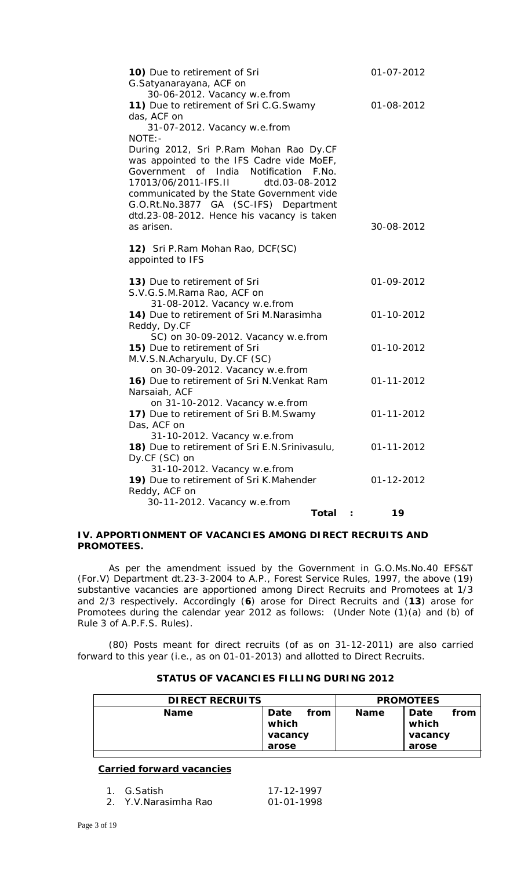| 10) Due to retirement of Sri<br>G.Satyanarayana, ACF on                             | 01-07-2012 |
|-------------------------------------------------------------------------------------|------------|
| 30-06-2012. Vacancy w.e.from                                                        |            |
| 11) Due to retirement of Sri C.G.Swamy                                              | 01-08-2012 |
| das, ACF on                                                                         |            |
| 31-07-2012. Vacancy w.e.from                                                        |            |
| NOTE: -                                                                             |            |
| During 2012, Sri P.Ram Mohan Rao Dy.CF<br>was appointed to the IFS Cadre vide MoEF, |            |
| of India Notification<br>Government<br>F.No.                                        |            |
| 17013/06/2011-IFS.II<br>dtd.03-08-2012                                              |            |
| communicated by the State Government vide                                           |            |
| G.O.Rt.No.3877 GA (SC-IFS) Department                                               |            |
| dtd.23-08-2012. Hence his vacancy is taken                                          |            |
| as arisen.                                                                          | 30-08-2012 |
|                                                                                     |            |
| 12) Sri P.Ram Mohan Rao, DCF(SC)                                                    |            |
| appointed to IFS                                                                    |            |
| 13) Due to retirement of Sri                                                        | 01-09-2012 |
| S.V.G.S.M.Rama Rao, ACF on                                                          |            |
| 31-08-2012. Vacancy w.e.from                                                        |            |
| 14) Due to retirement of Sri M.Narasimha                                            | 01-10-2012 |
| Reddy, Dy.CF                                                                        |            |
| SC) on 30-09-2012. Vacancy w.e.from                                                 |            |
| 15) Due to retirement of Sri                                                        | 01-10-2012 |
| M.V.S.N.Acharyulu, Dy.CF (SC)<br>on 30-09-2012. Vacancy w.e.from                    |            |
| 16) Due to retirement of Sri N. Venkat Ram                                          | 01-11-2012 |
| Narsaiah, ACF                                                                       |            |
| on 31-10-2012. Vacancy w.e.from                                                     |            |
| 17) Due to retirement of Sri B.M.Swamy                                              | 01-11-2012 |
| Das, ACF on                                                                         |            |
| 31-10-2012. Vacancy w.e.from                                                        |            |
| 18) Due to retirement of Sri E.N. Srinivasulu,                                      | 01-11-2012 |
| Dy.CF (SC) on                                                                       |            |
| 31-10-2012. Vacancy w.e.from                                                        |            |
| 19) Due to retirement of Sri K.Mahender                                             | 01-12-2012 |
| Reddy, ACF on<br>30-11-2012. Vacancy w.e.from                                       |            |
| <b>Total</b>                                                                        | 19         |
|                                                                                     |            |

### **IV. APPORTIONMENT OF VACANCIES AMONG DIRECT RECRUITS AND PROMOTEES.**

As per the amendment issued by the Government in G.O.Ms.No.40 EFS&T (For.V) Department dt.23-3-2004 to A.P., Forest Service Rules, 1997, the above (19) substantive vacancies are apportioned among Direct Recruits and Promotees at 1/3 and 2/3 respectively. Accordingly (**6**) arose for Direct Recruits and (**13**) arose for Promotees during the calendar year 2012 as follows: (Under Note (1)(a) and (b) of Rule 3 of A.P.F.S. Rules).

(80) Posts meant for direct recruits (of as on 31-12-2011) are also carried forward to this year (i.e., as on 01-01-2013) and allotted to Direct Recruits.

| <b>DIRECT RECRUITS</b> |                                   |      | <b>PROMOTEES</b> |                                   |      |
|------------------------|-----------------------------------|------|------------------|-----------------------------------|------|
| <b>Name</b>            | Date<br>which<br>vacancy<br>arose | from | <b>Name</b>      | Date<br>which<br>vacancy<br>arose | from |

### **STATUS OF VACANCIES FILLING DURING 2012**

## **Carried forward vacancies**

| 1. G.Satish          | 17-12-1997 |
|----------------------|------------|
| 2. Y.V.Narasimha Rao | 01-01-1998 |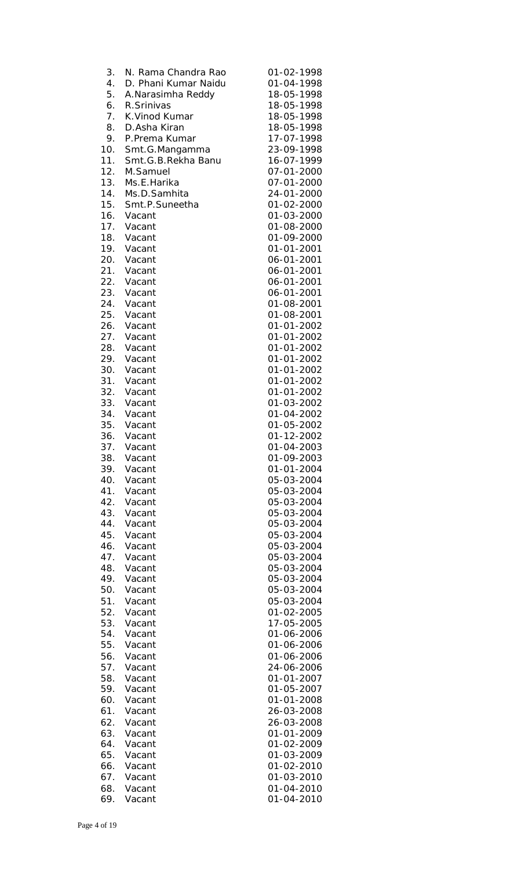| 3.         | N. Rama Chandra Rao  | 01-02-1998               |
|------------|----------------------|--------------------------|
| 4.         | D. Phani Kumar Naidu | 01-04-1998               |
| 5.         | A.Narasimha Reddy    | 18-05-1998               |
| 6.         | R.Srinivas           | 18-05-1998               |
| 7.         | K. Vinod Kumar       | 18-05-1998               |
| 8.         | D.Asha Kiran         | 18-05-1998               |
| 9.         | P.Prema Kumar        | 17-07-1998               |
| 10.        | Smt.G.Mangamma       | 23-09-1998               |
| 11.        | Smt.G.B.Rekha Banu   | 16-07-1999               |
| 12.        | M.Samuel             | 07-01-2000               |
| 13.        | Ms.E.Harika          | 07-01-2000               |
| 14.        | Ms.D.Samhita         | 24-01-2000               |
| 15.        | Smt.P.Suneetha       | 01-02-2000               |
| 16.        | Vacant               | 01-03-2000               |
| 17.        | Vacant               | 01-08-2000               |
| 18.        | Vacant               | 01-09-2000               |
| 19.        | Vacant               | 01-01-2001               |
| 20.        | Vacant               | 06-01-2001               |
| 21.        | Vacant               | 06-01-2001               |
| 22.        | Vacant               | 06-01-2001               |
| 23.        | Vacant               | 06-01-2001               |
| 24.        | Vacant               | 01-08-2001               |
| 25.        | Vacant               | 01-08-2001               |
| 26.        | Vacant               | 01-01-2002               |
| 27.        | Vacant               | 01-01-2002               |
| 28.        | Vacant               | 01-01-2002               |
| 29.        | Vacant               | 01-01-2002               |
| 30.        | Vacant               | 01-01-2002               |
| 31.        | Vacant               | 01-01-2002               |
| 32.        | Vacant               | 01-01-2002               |
| 33.        | Vacant               | 01-03-2002               |
| 34.        | Vacant               | 01-04-2002               |
| 35.        | Vacant               | 01-05-2002               |
| 36.        | Vacant               | 01-12-2002               |
| 37.        | Vacant               | 01-04-2003               |
| 38.        | Vacant               | 01-09-2003               |
| 39.        | Vacant               | 01-01-2004               |
| 40.        | Vacant               | 05-03-2004               |
| 41.        | Vacant               | 05-03-2004               |
| 42.        | Vacant               | 05-03-2004               |
| 43.        | Vacant               | 05-03-2004               |
| 44.        | Vacant               | 05-03-2004               |
| 45.        | Vacant               | 05-03-2004               |
| 46.<br>47. | Vacant               | 05-03-2004<br>05-03-2004 |
| 48.        | Vacant<br>Vacant     | 05-03-2004               |
| 49.        | Vacant               | 05-03-2004               |
| 50.        | Vacant               | 05-03-2004               |
| 51.        | Vacant               | 05-03-2004               |
| 52.        | Vacant               | 01-02-2005               |
| 53.        | Vacant               | 17-05-2005               |
| 54.        | Vacant               | 01-06-2006               |
| 55.        | Vacant               | 01-06-2006               |
| 56.        | Vacant               | 01-06-2006               |
| 57.        | Vacant               | 24-06-2006               |
| 58.        | Vacant               | 01-01-2007               |
| 59.        | Vacant               | 01-05-2007               |
| 60.        | Vacant               | 01-01-2008               |
| 61.        | Vacant               | 26-03-2008               |
| 62.        | Vacant               | 26-03-2008               |
| 63.        | Vacant               | 01-01-2009               |
| 64.        | Vacant               | 01-02-2009               |
| 65.        | Vacant               | 01-03-2009               |
| 66.        | Vacant               | 01-02-2010               |
| 67.        | Vacant               | 01-03-2010               |
| 68.        | Vacant               | 01-04-2010               |
| 69.        | Vacant               | 01-04-2010               |
|            |                      |                          |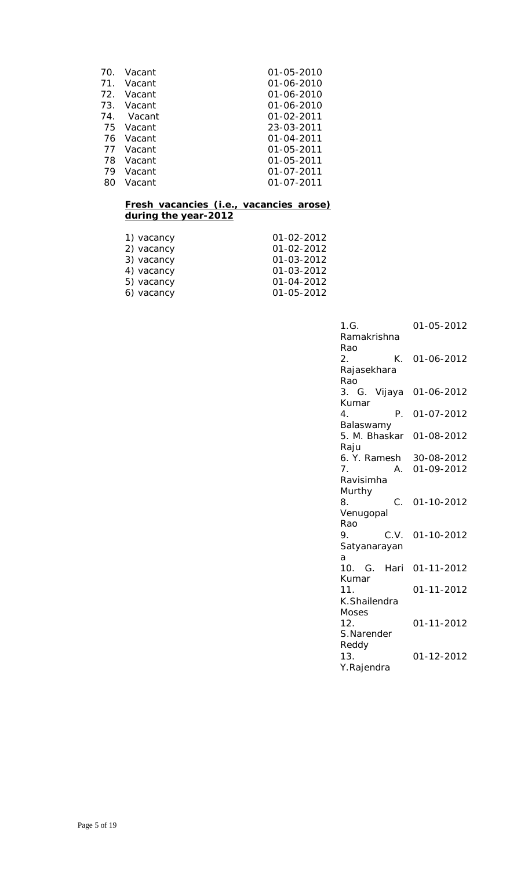| 01-05-2010       |
|------------------|
| 01-06-2010       |
| 01-06-2010       |
| 01-06-2010       |
| $01 - 02 - 2011$ |
| 23-03-2011       |
| 01-04-2011       |
| 01-05-2011       |
| 01-05-2011       |
| 01-07-2011       |
| 01-07-2011       |
|                  |

### **Fresh vacancies (i.e., vacancies arose) during the year-2012**

| 1) vacancy | 01-02-2012 |
|------------|------------|
| 2) vacancy | 01-02-2012 |
| 3) vacancy | 01-03-2012 |
| 4) vacancy | 01-03-2012 |
| 5) vacancy | 01-04-2012 |
| 6) vacancy | 01-05-2012 |

| 1.G.<br>Ramakrishna        | 01-05-2012               |
|----------------------------|--------------------------|
| Rao<br>К.<br>2.            | 01-06-2012               |
| Rajasekhara<br>Rao         |                          |
| 3. G. Vijaya               | 01-06-2012               |
| Kumar<br>Ρ.<br>4.          | 01-07-2012               |
| Balaswamy<br>5. M. Bhaskar | 01-08-2012               |
| Raju                       |                          |
| 6. Y. Ramesh<br>7.<br>А.   | 30-08-2012<br>01-09-2012 |
| Ravisimha                  |                          |
| Murthy                     |                          |
| C.<br>8.                   | 01-10-2012               |
| Venugopal                  |                          |
| Rao                        |                          |
| 9.<br>C.V.                 | 01-10-2012               |
| Satyanarayan<br>a          |                          |
| 10. G. Hari                | 01-11-2012               |
| Kumar<br>11.               | 01-11-2012               |
| K.Shailendra               |                          |
| Moses<br>12.               | 01-11-2012               |
| S.Narender                 |                          |
| Reddy<br>13.<br>Y.Rajendra | 01-12-2012               |
|                            |                          |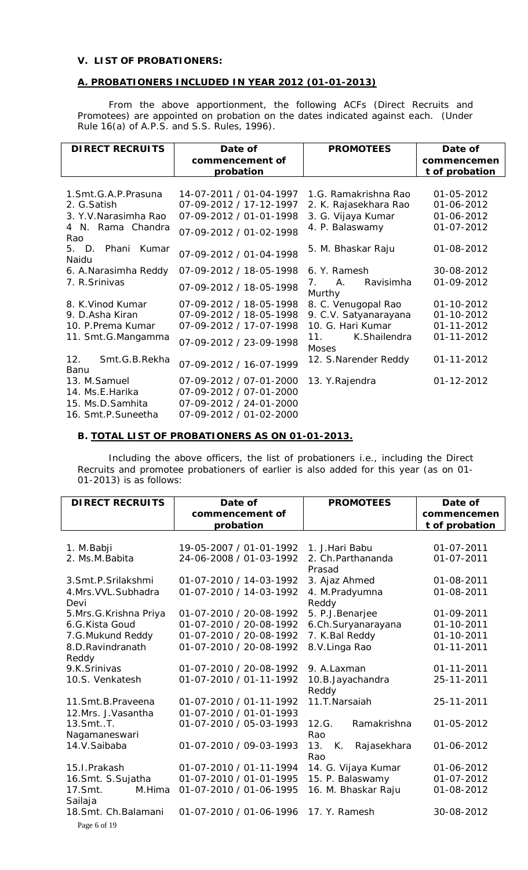### **V. LIST OF PROBATIONERS:**

# **A. PROBATIONERS INCLUDED IN YEAR 2012 (01-01-2013)**

From the above apportionment, the following ACFs (Direct Recruits and Promotees) are appointed on probation on the dates indicated against each. (Under Rule 16(a) of A.P.S. and S.S. Rules, 1996).

| <b>DIRECT RECRUITS</b>             | Date of                 | <b>PROMOTEES</b>                                                       | Date of          |
|------------------------------------|-------------------------|------------------------------------------------------------------------|------------------|
|                                    | commencement of         |                                                                        | commencemen      |
|                                    | probation               |                                                                        | t of probation   |
|                                    |                         |                                                                        |                  |
| 1. Smt. G. A. P. Prasuna           | 14-07-2011 / 01-04-1997 | 1.G. Ramakrishna Rao                                                   | 01-05-2012       |
| 2. G. Satish                       | 07-09-2012 / 17-12-1997 | 2. K. Rajasekhara Rao                                                  | 01-06-2012       |
| 3. Y.V. Narasimha Rao              | 07-09-2012 / 01-01-1998 | 3. G. Vijaya Kumar                                                     | 01-06-2012       |
| 4 N. Rama Chandra<br>Rao           | 07-09-2012 / 01-02-1998 | 4. P. Balaswamy                                                        | 01-07-2012       |
| $5.$ D.<br>Phani<br>Kumar<br>Naidu | 07-09-2012 / 01-04-1998 | 5. M. Bhaskar Raju                                                     | 01-08-2012       |
| 6. A. Narasimha Reddy              | 07-09-2012 / 18-05-1998 | 6. Y. Ramesh                                                           | 30-08-2012       |
| 7. R. Srinivas                     | 07-09-2012 / 18-05-1998 | Ravisimha<br>$A_{\cdot}$<br>$7_{\scriptscriptstyle{\ddots}}$<br>Murthy | 01-09-2012       |
| 8. K. Vinod Kumar                  | 07-09-2012 / 18-05-1998 | 8. C. Venugopal Rao                                                    | 01-10-2012       |
| 9. D. Asha Kiran                   | 07-09-2012 / 18-05-1998 | 9. C.V. Satyanarayana                                                  | 01-10-2012       |
| 10. P. Prema Kumar                 | 07-09-2012 / 17-07-1998 | 10. G. Hari Kumar                                                      | $01 - 11 - 2012$ |
| 11. Smt.G.Mangamma                 | 07-09-2012 / 23-09-1998 | K.Shailendra<br>11.<br>Moses                                           | 01-11-2012       |
| 12.<br>Smt.G.B.Rekha<br>Banu       | 07-09-2012 / 16-07-1999 | 12. S. Narender Reddy                                                  | 01-11-2012       |
| 13. M.Samuel                       | 07-09-2012 / 07-01-2000 | 13. Y. Rajendra                                                        | 01-12-2012       |
| 14. Ms.E.Harika                    | 07-09-2012 / 07-01-2000 |                                                                        |                  |
| 15. Ms.D.Samhita                   | 07-09-2012 / 24-01-2000 |                                                                        |                  |
| 16. Smt.P.Suneetha                 | 07-09-2012 / 01-02-2000 |                                                                        |                  |

# **B. TOTAL LIST OF PROBATIONERS AS ON 01-01-2013.**

Including the above officers, the list of probationers i.e., including the Direct Recruits and promotee probationers of earlier is also added for this year (as on 01- 01-2013) is as follows:

| <b>DIRECT RECRUITS</b>       | Date of                 | <b>PROMOTEES</b>             | Date of        |
|------------------------------|-------------------------|------------------------------|----------------|
|                              | commencement of         |                              | commencemen    |
|                              | probation               |                              | t of probation |
|                              |                         |                              |                |
| 1. M.Babji                   | 19-05-2007 / 01-01-1992 | 1. J. Hari Babu              | 01-07-2011     |
| 2. Ms.M. Babita              | 24-06-2008 / 01-03-1992 | 2. Ch. Parthananda<br>Prasad | 01-07-2011     |
| 3.Smt.P.Srilakshmi           | 01-07-2010 / 14-03-1992 | 3. Ajaz Ahmed                | 01-08-2011     |
| 4.Mrs. VVL. Subhadra         | 01-07-2010 / 14-03-1992 | 4. M.Pradyumna               | 01-08-2011     |
| Devi                         |                         | Reddy                        |                |
| 5.Mrs.G.Krishna Priya        | 01-07-2010 / 20-08-1992 | 5. P.J.Benarjee              | 01-09-2011     |
| 6.G.Kista Goud               | 01-07-2010 / 20-08-1992 | 6.Ch.Suryanarayana           | 01-10-2011     |
| 7.G.Mukund Reddy             | 01-07-2010 / 20-08-1992 | 7. K. Bal Reddy              | 01-10-2011     |
| 8.D.Ravindranath             | 01-07-2010 / 20-08-1992 | 8.V.Linga Rao                | 01-11-2011     |
| Reddy                        |                         |                              |                |
| 9.K.Srinivas                 | 01-07-2010 / 20-08-1992 | 9. A.Laxman                  | 01-11-2011     |
| 10.S. Venkatesh              | 01-07-2010 / 01-11-1992 | 10.B.Jayachandra<br>Reddy    | 25-11-2011     |
| 11.Smt.B.Praveena            | 01-07-2010 / 01-11-1992 | 11.T.Narsaiah                | 25-11-2011     |
| 12.Mrs. J.Vasantha           | 01-07-2010 / 01-01-1993 |                              |                |
| $13.5$ mt. $.$ T.            | 01-07-2010 / 05-03-1993 | 12.G.<br>Ramakrishna         | 01-05-2012     |
| Nagamaneswari                |                         | Rao                          |                |
| 14.V.Saibaba                 | 01-07-2010 / 09-03-1993 | 13.<br>К.<br>Rajasekhara     | 01-06-2012     |
|                              |                         | Rao                          |                |
| 15.I.Prakash                 | 01-07-2010 / 01-11-1994 | 14. G. Vijaya Kumar          | 01-06-2012     |
| 16.Smt. S.Sujatha            | 01-07-2010 / 01-01-1995 | 15. P. Balaswamy             | 01-07-2012     |
| 17.Smt.<br>M.Hima<br>Sailaja | 01-07-2010 / 01-06-1995 | 16. M. Bhaskar Raju          | 01-08-2012     |
| 18.Smt. Ch.Balamani          | 01-07-2010 / 01-06-1996 | 17. Y. Ramesh                | 30-08-2012     |
| Page 6 of 19                 |                         |                              |                |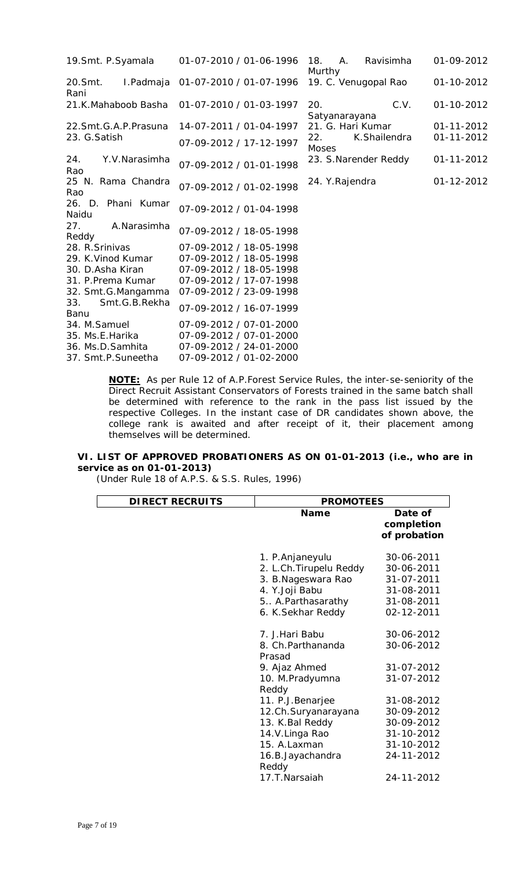| 19. Smt. P. Syamala          | 01-07-2010 / 01-06-1996 | Ravisimha<br>18.<br>A.<br><b>Murthy</b> | 01-09-2012       |
|------------------------------|-------------------------|-----------------------------------------|------------------|
| 20.Smt.<br>I.Padmaja<br>Rani | 01-07-2010 / 01-07-1996 | 19. C. Venugopal Rao                    | 01-10-2012       |
| 21.K.Mahaboob Basha          | 01-07-2010 / 01-03-1997 | C.V.<br>20.<br>Satyanarayana            | 01-10-2012       |
| 22. Smt. G. A. P. Prasuna    | 14-07-2011 / 01-04-1997 | 21. G. Hari Kumar                       | $01 - 11 - 2012$ |
| 23. G. Satish                | 07-09-2012 / 17-12-1997 | K.Shailendra<br>22.<br><b>Moses</b>     | 01-11-2012       |
| 24.<br>Y.V.Narasimha<br>Rao  | 07-09-2012 / 01-01-1998 | 23. S.Narender Reddy                    | 01-11-2012       |
| 25 N. Rama Chandra<br>Rao    | 07-09-2012 / 01-02-1998 | 24. Y. Rajendra                         | 01-12-2012       |
| 26. D. Phani Kumar<br>Naidu  | 07-09-2012 / 01-04-1998 |                                         |                  |
| 27.<br>A.Narasimha<br>Reddy  | 07-09-2012 / 18-05-1998 |                                         |                  |
| 28. R. Srinivas              | 07-09-2012 / 18-05-1998 |                                         |                  |
| 29. K. Vinod Kumar           | 07-09-2012 / 18-05-1998 |                                         |                  |
| 30. D.Asha Kiran             | 07-09-2012 / 18-05-1998 |                                         |                  |
| 31. P. Prema Kumar           | 07-09-2012 / 17-07-1998 |                                         |                  |
| 32. Smt.G.Mangamma           | 07-09-2012 / 23-09-1998 |                                         |                  |
| Smt.G.B.Rekha<br>33.<br>Banu | 07-09-2012 / 16-07-1999 |                                         |                  |
| 34. M. Samuel                | 07-09-2012 / 07-01-2000 |                                         |                  |
| 35. Ms.E.Harika              | 07-09-2012 / 07-01-2000 |                                         |                  |
| 36. Ms.D.Samhita             | 07-09-2012 / 24-01-2000 |                                         |                  |
| 37. Smt.P.Suneetha           | 07-09-2012 / 01-02-2000 |                                         |                  |

**NOTE:** As per Rule 12 of A.P.Forest Service Rules, the inter-se-seniority of the Direct Recruit Assistant Conservators of Forests trained in the same batch shall be determined with reference to the rank in the pass list issued by the respective Colleges. *In the instant case of DR candidates shown above, the college rank is awaited and after receipt of it, their placement among themselves will be determined.*

### **VI. LIST OF APPROVED PROBATIONERS AS ON 01-01-2013 (i.e., who are in service as on 01-01-2013)**

(Under Rule 18 of A.P.S. & S.S. Rules, 1996)

| <b>DIRECT RECRUITS</b> | <b>PROMOTEES</b>                                                                                                                                     |                                                                                                |  |  |  |
|------------------------|------------------------------------------------------------------------------------------------------------------------------------------------------|------------------------------------------------------------------------------------------------|--|--|--|
|                        | <b>Name</b>                                                                                                                                          | Date of<br>completion<br>of probation                                                          |  |  |  |
|                        | 1. P. Anjaneyulu<br>2. L.Ch. Tirupelu Reddy<br>3. B. Nageswara Rao<br>4. Y.Joji Babu<br>5. A. Parthasarathy<br>6. K. Sekhar Reddy                    | 30-06-2011<br>30-06-2011<br>31-07-2011<br>31-08-2011<br>31-08-2011<br>02-12-2011               |  |  |  |
|                        | 7. J. Hari Babu<br>8. Ch.Parthananda<br>Prasad<br>9. Ajaz Ahmed<br>10. M.Pradyumna                                                                   | 30-06-2012<br>30-06-2012<br>31-07-2012<br>31-07-2012                                           |  |  |  |
|                        | Reddy<br>11. P.J.Benarjee<br>12.Ch.Suryanarayana<br>13. K. Bal Reddy<br>14.V.Linga Rao<br>15. A.Laxman<br>16.B.Jayachandra<br>Reddy<br>17.T.Narsaiah | 31-08-2012<br>30-09-2012<br>30-09-2012<br>31-10-2012<br>31-10-2012<br>24-11-2012<br>24-11-2012 |  |  |  |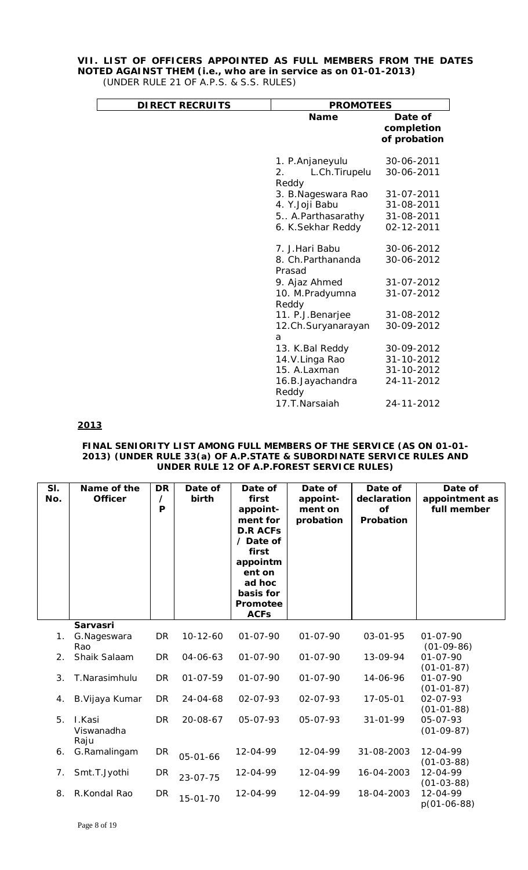# **VII. LIST OF OFFICERS APPOINTED AS FULL MEMBERS FROM THE DATES NOTED AGAINST THEM (i.e., who are in service as on 01-01-2013)**

| (UNDER RULE 21 OF A.P.S. & S.S. RULES) |  |
|----------------------------------------|--|
|----------------------------------------|--|

| <b>DIRECT RECRUITS</b> | <b>PROMOTEES</b>                                  |                                       |  |  |
|------------------------|---------------------------------------------------|---------------------------------------|--|--|
|                        | <b>Name</b>                                       | Date of<br>completion<br>of probation |  |  |
|                        | 1. P. Anjaneyulu<br>L.Ch. Tirupelu<br>2.<br>Reddy | 30-06-2011<br>30-06-2011              |  |  |
|                        | 3. B. Nageswara Rao                               | 31-07-2011                            |  |  |
|                        | 4. Y.Joji Babu                                    | 31-08-2011                            |  |  |
|                        | 5. A. Parthasarathy                               | 31-08-2011                            |  |  |
|                        | 6. K.Sekhar Reddy                                 | 02-12-2011                            |  |  |
|                        | 7. J. Hari Babu                                   | 30-06-2012                            |  |  |
|                        | 8. Ch. Parthananda<br>Prasad                      | 30-06-2012                            |  |  |
|                        | 9. Ajaz Ahmed                                     | 31-07-2012                            |  |  |
|                        | 10. M.Pradyumna<br>Reddy                          | 31-07-2012                            |  |  |
|                        | 11. P.J. Benarjee                                 | 31-08-2012                            |  |  |
|                        | 12.Ch.Suryanarayan<br>a                           | 30-09-2012                            |  |  |
|                        | 13. K. Bal Reddy                                  | 30-09-2012                            |  |  |
|                        | 14.V.Linga Rao                                    | 31-10-2012                            |  |  |
|                        | 15. A.Laxman                                      | 31-10-2012                            |  |  |
|                        | 16.B.Jayachandra                                  | 24-11-2012                            |  |  |
|                        | Reddy                                             |                                       |  |  |
|                        | 17.T.Narsaiah                                     | 24-11-2012                            |  |  |

**2013**

#### **FINAL SENIORITY LIST AMONG FULL MEMBERS OF THE SERVICE (AS ON 01-01- 2013) (UNDER RULE 33(a) OF A.P.STATE & SUBORDINATE SERVICE RULES AND UNDER RULE 12 OF A.P.FOREST SERVICE RULES)**

| SI.<br>No.     | Name of the<br><b>Officer</b> | <b>DR</b><br>7<br>P | Date of<br>birth | Date of<br>first<br>appoint-<br>ment for<br><b>D.R ACFs</b><br>/ Date of<br>first<br>appointm<br>ent on<br>ad hoc<br>basis for<br>Promotee<br><b>ACFs</b> | Date of<br>appoint-<br>ment on<br>probation | Date of<br>declaration<br>of<br>Probation | Date of<br>appointment as<br>full member |
|----------------|-------------------------------|---------------------|------------------|-----------------------------------------------------------------------------------------------------------------------------------------------------------|---------------------------------------------|-------------------------------------------|------------------------------------------|
|                | Sarvasri                      |                     |                  |                                                                                                                                                           |                                             |                                           |                                          |
| 1 <sub>1</sub> | G.Nageswara<br>Rao            | DR                  | $10-12-60$       | $01 - 07 - 90$                                                                                                                                            | $01 - 07 - 90$                              | 03-01-95                                  | $01 - 07 - 90$<br>$(01-09-86)$           |
| 2.             | Shaik Salaam                  | <b>DR</b>           | $04 - 06 - 63$   | $01 - 07 - 90$                                                                                                                                            | $01 - 07 - 90$                              | 13-09-94                                  | $01 - 07 - 90$                           |
|                |                               |                     |                  |                                                                                                                                                           |                                             |                                           | $(01-01-87)$                             |
| 3.             | T.Narasimhulu                 | <b>DR</b>           | $01 - 07 - 59$   | $01 - 07 - 90$                                                                                                                                            | $01 - 07 - 90$                              | 14-06-96                                  | $01 - 07 - 90$<br>$(01-01-87)$           |
| 4.             | B. Vijaya Kumar               | <b>DR</b>           | 24-04-68         | $02 - 07 - 93$                                                                                                                                            | 02-07-93                                    | 17-05-01                                  | 02-07-93                                 |
|                |                               |                     |                  |                                                                                                                                                           |                                             |                                           | $(01-01-88)$                             |
| 5.             | I.Kasi<br>Viswanadha          | <b>DR</b>           | 20-08-67         | 05-07-93                                                                                                                                                  | 05-07-93                                    | $31 - 01 - 99$                            | 05-07-93                                 |
|                | Raju                          |                     |                  |                                                                                                                                                           |                                             |                                           | $(01-09-87)$                             |
| 6.             | G.Ramalingam                  | <b>DR</b>           | 05-01-66         | 12-04-99                                                                                                                                                  | 12-04-99                                    | 31-08-2003                                | 12-04-99                                 |
|                |                               |                     |                  |                                                                                                                                                           |                                             |                                           | $(01-03-88)$                             |
| 7.             | Smt.T.Jyothi                  | <b>DR</b>           | $23 - 07 - 75$   | 12-04-99                                                                                                                                                  | 12-04-99                                    | 16-04-2003                                | 12-04-99<br>$(01-03-88)$                 |
| 8.             | R.Kondal Rao                  | <b>DR</b>           | $15 - 01 - 70$   | 12-04-99                                                                                                                                                  | 12-04-99                                    | 18-04-2003                                | 12-04-99<br>$p(01-06-88)$                |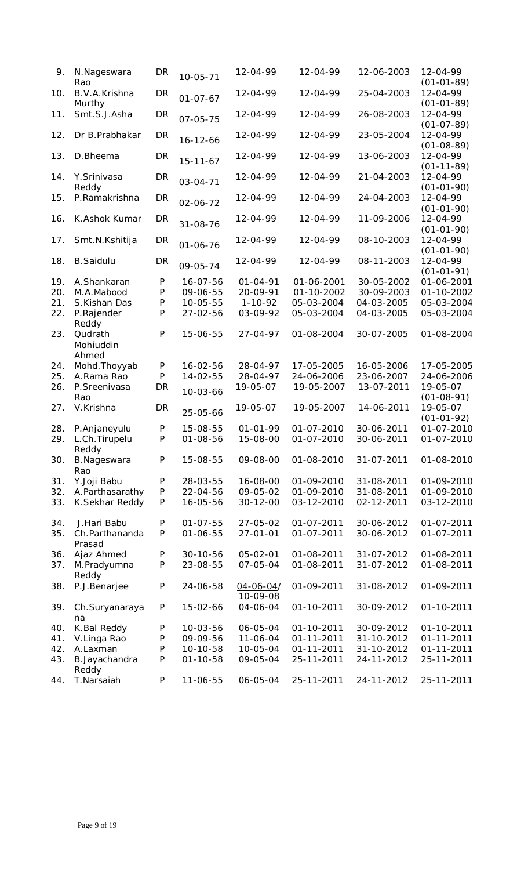| 9.  | N.Nageswara<br>Rao                 | DR           | $10 - 05 - 71$ | 12-04-99                   | 12-04-99         | 12-06-2003 | 12-04-99<br>$(01-01-89)$     |
|-----|------------------------------------|--------------|----------------|----------------------------|------------------|------------|------------------------------|
| 10. | B.V.A.Krishna<br>Murthy            | DR           | $01 - 07 - 67$ | 12-04-99                   | 12-04-99         | 25-04-2003 | 12-04-99<br>$(01-01-89)$     |
| 11. | Smt.S.J.Asha                       | DR           | $07 - 05 - 75$ | 12-04-99                   | 12-04-99         | 26-08-2003 | 12-04-99<br>$(01-07-89)$     |
| 12. | Dr B.Prabhakar                     | DR           | $16 - 12 - 66$ | 12-04-99                   | 12-04-99         | 23-05-2004 | 12-04-99<br>$(01 - 08 - 89)$ |
| 13. | D.Bheema                           | DR           | $15 - 11 - 67$ | 12-04-99                   | 12-04-99         | 13-06-2003 | 12-04-99<br>$(01-11-89)$     |
| 14. | Y.Srinivasa<br>Reddy               | DR           | $03 - 04 - 71$ | 12-04-99                   | 12-04-99         | 21-04-2003 | 12-04-99<br>$(01-01-90)$     |
| 15. | P.Ramakrishna                      | <b>DR</b>    | 02-06-72       | 12-04-99                   | 12-04-99         | 24-04-2003 | 12-04-99<br>$(01 - 01 - 90)$ |
| 16. | K.Ashok Kumar                      | <b>DR</b>    | 31-08-76       | 12-04-99                   | 12-04-99         | 11-09-2006 | 12-04-99<br>$(01 - 01 - 90)$ |
| 17. | Smt.N.Kshitija                     | <b>DR</b>    | $01 - 06 - 76$ | 12-04-99                   | 12-04-99         | 08-10-2003 | 12-04-99<br>$(01-01-90)$     |
| 18. | <b>B.Saidulu</b>                   | DR           | 09-05-74       | 12-04-99                   | 12-04-99         | 08-11-2003 | 12-04-99<br>$(01-01-91)$     |
| 19. | A.Shankaran                        | $\mathsf{P}$ | 16-07-56       | $01 - 04 - 91$             | 01-06-2001       | 30-05-2002 | 01-06-2001                   |
| 20. | M.A.Mabood                         | $\mathsf{P}$ | 09-06-55       | 20-09-91                   | 01-10-2002       | 30-09-2003 | 01-10-2002                   |
| 21. | S.Kishan Das                       | P            | $10 - 05 - 55$ | $1 - 10 - 92$              | 05-03-2004       | 04-03-2005 | 05-03-2004                   |
| 22. | P.Rajender                         | P            | 27-02-56       | 03-09-92                   | 05-03-2004       | 04-03-2005 | 05-03-2004                   |
|     | Reddy                              |              |                |                            |                  |            |                              |
| 23. | Qudrath<br>Mohiuddin<br>Ahmed      | ${\sf P}$    | 15-06-55       | 27-04-97                   | 01-08-2004       | 30-07-2005 | 01-08-2004                   |
| 24. | Mohd. Thoyyab                      | P            | $16 - 02 - 56$ | 28-04-97                   | 17-05-2005       | 16-05-2006 | 17-05-2005                   |
| 25. | A.Rama Rao                         | $\mathsf{P}$ | $14 - 02 - 55$ | 28-04-97                   | 24-06-2006       | 23-06-2007 | 24-06-2006                   |
| 26. | P.Sreenivasa<br>Rao                | DR           | $10 - 03 - 66$ | 19-05-07                   | 19-05-2007       | 13-07-2011 | 19-05-07<br>$(01 - 08 - 91)$ |
| 27. | V.Krishna                          | <b>DR</b>    | 25-05-66       | 19-05-07                   | 19-05-2007       | 14-06-2011 | 19-05-07<br>$(01-01-92)$     |
| 28. | P.Anjaneyulu                       | P            | 15-08-55       | $01 - 01 - 99$             | 01-07-2010       | 30-06-2011 | 01-07-2010                   |
| 29. | L.Ch.Tirupelu                      | P            | $01 - 08 - 56$ | 15-08-00                   | 01-07-2010       | 30-06-2011 | 01-07-2010                   |
| 30. | Reddy<br><b>B.Nageswara</b><br>Rao | P            | 15-08-55       | 09-08-00                   | 01-08-2010       | 31-07-2011 | 01-08-2010                   |
| 31. | Y.Joji Babu                        | P            | 28-03-55       | 16-08-00                   | 01-09-2010       | 31-08-2011 | 01-09-2010                   |
|     |                                    |              |                |                            |                  |            |                              |
| 32. | A.Parthasarathy                    | P            | 22-04-56       | 09-05-02                   | 01-09-2010       | 31-08-2011 | 01-09-2010                   |
| 33. | K.Sekhar Reddy                     | P            | 16-05-56       | $30 - 12 - 00$             | 03-12-2010       | 02-12-2011 | 03-12-2010                   |
| 34. | J.Hari Babu                        | P            | $01 - 07 - 55$ | 27-05-02                   | 01-07-2011       | 30-06-2012 | 01-07-2011                   |
| 35. | Ch.Parthananda<br>Prasad           | P            | 01-06-55       | $27 - 01 - 01$             | 01-07-2011       | 30-06-2012 | 01-07-2011                   |
| 36. | Ajaz Ahmed                         | P            | 30-10-56       | 05-02-01                   | 01-08-2011       | 31-07-2012 | 01-08-2011                   |
| 37. | M.Pradyumna<br>Reddy               | P            | 23-08-55       | 07-05-04                   | 01-08-2011       | 31-07-2012 | 01-08-2011                   |
| 38. | P.J.Benarjee                       | ${\sf P}$    | 24-06-58       | $04 - 06 - 04$<br>10-09-08 | 01-09-2011       | 31-08-2012 | 01-09-2011                   |
| 39. | Ch.Suryanaraya<br>na               | P            | 15-02-66       | 04-06-04                   | 01-10-2011       | 30-09-2012 | 01-10-2011                   |
| 40. | K.Bal Reddy                        | P            | 10-03-56       | 06-05-04                   | 01-10-2011       | 30-09-2012 | 01-10-2011                   |
| 41. | V.Linga Rao                        | ${\sf P}$    | 09-09-56       | 11-06-04                   | $01 - 11 - 2011$ | 31-10-2012 | 01-11-2011                   |
|     |                                    |              |                |                            |                  |            |                              |
| 42. | A.Laxman                           | ${\sf P}$    | 10-10-58       | 10-05-04                   | 01-11-2011       | 31-10-2012 | 01-11-2011                   |
| 43. | B.Jayachandra<br>Reddy             | P            | 01-10-58       | 09-05-04                   | 25-11-2011       | 24-11-2012 | 25-11-2011                   |
| 44. | T.Narsaiah                         | P            | 11-06-55       | 06-05-04                   | 25-11-2011       | 24-11-2012 | 25-11-2011                   |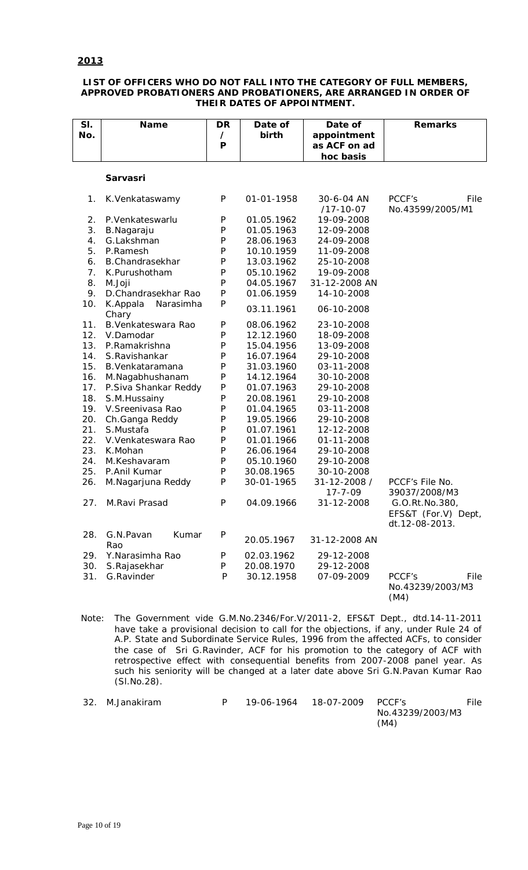### **2013**

#### **LIST OF OFFICERS WHO DO NOT FALL INTO THE CATEGORY OF FULL MEMBERS, APPROVED PROBATIONERS AND PROBATIONERS, ARE ARRANGED IN ORDER OF THEIR DATES OF APPOINTMENT.**

| SI.<br>No. | Name                           | DR<br>$\prime$ | Date of<br>birth | Date of                                  | <b>Remarks</b>                             |
|------------|--------------------------------|----------------|------------------|------------------------------------------|--------------------------------------------|
|            |                                | P              |                  | appointment<br>as ACF on ad<br>hoc basis |                                            |
|            |                                |                |                  |                                          |                                            |
|            | Sarvasri                       |                |                  |                                          |                                            |
| 1.         | K. Venkataswamy                | P              | 01-01-1958       | 30-6-04 AN                               | PCCF's<br>File                             |
|            |                                |                |                  | $/17 - 10 - 07$                          | No.43599/2005/M1                           |
| 2.         | P.Venkateswarlu                | P              | 01.05.1962       | 19-09-2008                               |                                            |
| 3.         | B.Nagaraju                     | P              | 01.05.1963       | 12-09-2008                               |                                            |
| 4.         | G.Lakshman                     | P              | 28.06.1963       | 24-09-2008                               |                                            |
| 5.         | P.Ramesh                       | P              | 10.10.1959       | 11-09-2008                               |                                            |
| 6.         | B.Chandrasekhar                | P              | 13.03.1962       | 25-10-2008                               |                                            |
| 7.         | K.Purushotham                  | P              | 05.10.1962       | 19-09-2008                               |                                            |
| 8.         | M.Joji                         | P              | 04.05.1967       | 31-12-2008 AN                            |                                            |
| 9.         | D.Chandrasekhar Rao            | P              | 01.06.1959       | 14-10-2008                               |                                            |
| 10.        | K.Appala<br>Narasimha<br>Chary | P              | 03.11.1961       | 06-10-2008                               |                                            |
| 11.        | B. Venkateswara Rao            | P              | 08.06.1962       | 23-10-2008                               |                                            |
| 12.        | V.Damodar                      | P              | 12.12.1960       | 18-09-2008                               |                                            |
| 13.        | P.Ramakrishna                  | P              | 15.04.1956       | 13-09-2008                               |                                            |
| 14.        | S.Ravishankar                  | P              | 16.07.1964       | 29-10-2008                               |                                            |
| 15.        | B. Venkataramana               | P              | 31.03.1960       | 03-11-2008                               |                                            |
| 16.        | M.Nagabhushanam                | P              | 14.12.1964       | 30-10-2008                               |                                            |
| 17.        | P.Siva Shankar Reddy           | P              | 01.07.1963       | 29-10-2008                               |                                            |
| 18.        | S.M.Hussainy                   | P              | 20.08.1961       | 29-10-2008                               |                                            |
| 19.        | V.Sreenivasa Rao               | P              | 01.04.1965       | 03-11-2008                               |                                            |
| 20.        | Ch.Ganga Reddy                 | P              | 19.05.1966       | 29-10-2008                               |                                            |
| 21.        | S.Mustafa                      | P              | 01.07.1961       | 12-12-2008                               |                                            |
| 22.        | V.Venkateswara Rao             | P              | 01.01.1966       | 01-11-2008                               |                                            |
| 23.        | K.Mohan                        | P              | 26.06.1964       | 29-10-2008                               |                                            |
| 24.        | M.Keshavaram                   | P              | 05.10.1960       | 29-10-2008                               |                                            |
| 25.        | P.Anil Kumar                   | P              | 30.08.1965       | 30-10-2008                               |                                            |
| 26.        | M.Nagarjuna Reddy              | P              | 30-01-1965       | 31-12-2008 /<br>$17 - 7 - 09$            | PCCF's File No.                            |
|            | 27. M.Ravi Prasad              | P              | 04.09.1966       | 31-12-2008                               | 39037/2008/M3<br>G.O.Rt.No.380,            |
|            |                                |                |                  |                                          | EFS&T (For.V) Dept,<br>dt.12-08-2013.      |
| 28.        | G.N.Pavan<br>Kumar<br>Rao      | P              | 20.05.1967       | 31-12-2008 AN                            |                                            |
| 29.        | Y.Narasimha Rao                | P              | 02.03.1962       | 29-12-2008                               |                                            |
| 30.        | S.Rajasekhar                   | P              | 20.08.1970       | 29-12-2008                               |                                            |
| 31.        | G.Ravinder                     | P              | 30.12.1958       | 07-09-2009                               | File<br>PCCF's<br>No.43239/2003/M3<br>(M4) |

Note: The Government vide G.M.No.2346/For.V/2011-2, EFS&T Dept., dtd.14-11-2011 have take a provisional decision to call for the objections, if any, under Rule 24 of A.P. State and Subordinate Service Rules, 1996 from the affected ACFs, to consider the case of Sri G.Ravinder, ACF for his promotion to the category of ACF with retrospective effect with consequential benefits from 2007-2008 panel year. As such his seniority will be changed at a later date above Sri G.N.Pavan Kumar Rao (Sl.No.28).

| 32. M.Janakiram |  | 19-06-1964  18-07-2009  PCCF's |                  | File |
|-----------------|--|--------------------------------|------------------|------|
|                 |  |                                | No.43239/2003/M3 |      |
|                 |  |                                | (M4)             |      |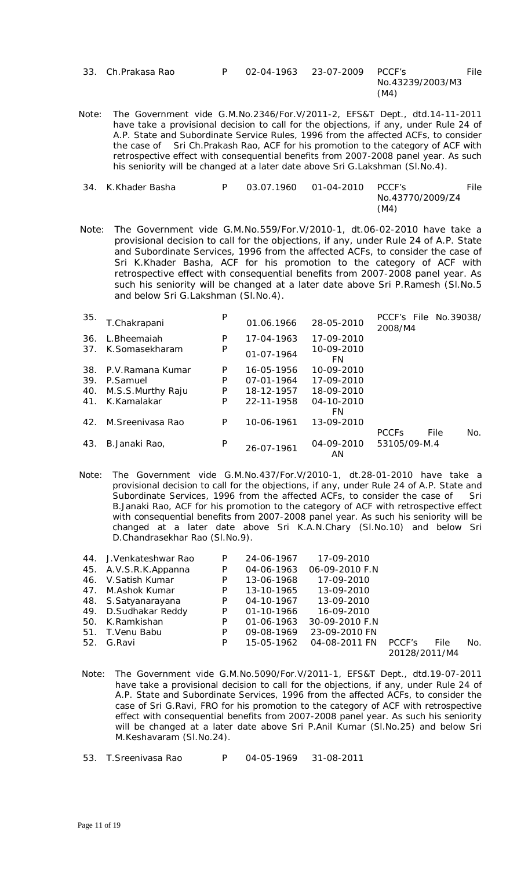| 33. Ch. Prakasa Rao |  | 02-04-1963 23-07-2009 PCCF's |                  | File |
|---------------------|--|------------------------------|------------------|------|
|                     |  |                              | No.43239/2003/M3 |      |
|                     |  |                              | (M4)             |      |

Note: The Government vide G.M.No.2346/For.V/2011-2, EFS&T Dept., dtd.14-11-2011 have take a provisional decision to call for the objections, if any, under Rule 24 of A.P. State and Subordinate Service Rules, 1996 from the affected ACFs, to consider the case of Sri Ch.Prakash Rao, ACF for his promotion to the category of ACF with retrospective effect with consequential benefits from 2007-2008 panel year. As such his seniority will be changed at a later date above Sri G.Lakshman (Sl.No.4).

| 34. K.Khader Basha |  | 03.07.1960   01-04-2010   PCCF's |                  | File |
|--------------------|--|----------------------------------|------------------|------|
|                    |  |                                  | No.43770/2009/Z4 |      |
|                    |  |                                  | (M4)             |      |

Note: The Government vide G.M.No.559/For.V/2010-1, dt.06-02-2010 have take a provisional decision to call for the objections, if any, under Rule 24 of A.P. State and Subordinate Services, 1996 from the affected ACFs, to consider the case of Sri K.Khader Basha, ACF for his promotion to the category of ACF with retrospective effect with consequential benefits from 2007-2008 panel year. As such his seniority will be changed at a later date above Sri P.Ramesh (Sl.No.5 and below Sri G.Lakshman (Sl.No.4).

| 35. | T.Chakrapani      | P | 01.06.1966 | 28-05-2010       | PCCF's File No.39038/<br>2008/M4 |      |     |
|-----|-------------------|---|------------|------------------|----------------------------------|------|-----|
| 36. | L.Bheemaiah       | P | 17-04-1963 | 17-09-2010       |                                  |      |     |
| 37. | K.Somasekharam    | P | 01-07-1964 | 10-09-2010<br>FN |                                  |      |     |
| 38. | P.V.Ramana Kumar  | P | 16-05-1956 | 10-09-2010       |                                  |      |     |
| 39. | P.Samuel          | P | 07-01-1964 | 17-09-2010       |                                  |      |     |
| 40. | M.S.S.Murthy Raju | P | 18-12-1957 | 18-09-2010       |                                  |      |     |
| 41. | K.Kamalakar       | P | 22-11-1958 | 04-10-2010       |                                  |      |     |
|     |                   |   |            | FN               |                                  |      |     |
| 42. | M. Sreeniyasa Rao | P | 10-06-1961 | 13-09-2010       |                                  |      |     |
|     |                   |   |            |                  | <b>PCCF<sub>S</sub></b>          | File | No. |
| 43. | B.Janaki Rao,     | P | 26-07-1961 | 04-09-2010<br>AN | 53105/09-M.4                     |      |     |

Note: The Government vide G.M.No.437/For.V/2010-1, dt.28-01-2010 have take a provisional decision to call for the objections, if any, under Rule 24 of A.P. State and Subordinate Services, 1996 from the affected ACFs, to consider the case of Sri B.Janaki Rao, ACF for his promotion to the category of ACF with retrospective effect with consequential benefits from 2007-2008 panel year. As such his seniority will be changed at a later date above Sri K.A.N.Chary (Sl.No.10) and below Sri D.Chandrasekhar Rao (Sl.No.9).

| 44. | J.Venkateshwar Rao    | P | 24-06-1967       | 17-09-2010      |                |     |
|-----|-----------------------|---|------------------|-----------------|----------------|-----|
|     | 45. A.V.S.R.K.Appanna | P | 04-06-1963       | 06-09-2010 F.N  |                |     |
|     | 46. V. Satish Kumar   | P | 13-06-1968       | 17-09-2010      |                |     |
| 47. | M.Ashok Kumar         | P | 13-10-1965       | 13-09-2010      |                |     |
|     | 48. S.Satyanarayana   | P | 04-10-1967       | 13-09-2010      |                |     |
|     | 49. D. Sudhakar Reddy | P | $01 - 10 - 1966$ | 16-09-2010      |                |     |
|     | 50. K.Ramkishan       | P | $01 - 06 - 1963$ | 30-09-2010 F.N. |                |     |
| 51. | T. Venu Babu          | P | 09-08-1969       | 23-09-2010 FN   |                |     |
|     | 52. G.Ravi            | P | 15-05-1962       | 04-08-2011 FN   | PCCF's<br>File | No. |
|     |                       |   |                  |                 | 20128/2011/M4  |     |

- Note: The Government vide G.M.No.5090/For.V/2011-1, EFS&T Dept., dtd.19-07-2011 have take a provisional decision to call for the objections, if any, under Rule 24 of A.P. State and Subordinate Services, 1996 from the affected ACFs, to consider the case of Sri G.Ravi, FRO for his promotion to the category of ACF with retrospective effect with consequential benefits from 2007-2008 panel year. As such his seniority will be changed at a later date above Sri P.Anil Kumar (Sl.No.25) and below Sri M.Keshavaram (Sl.No.24).
- 53. T.Sreenivasa Rao P 04-05-1969 31-08-2011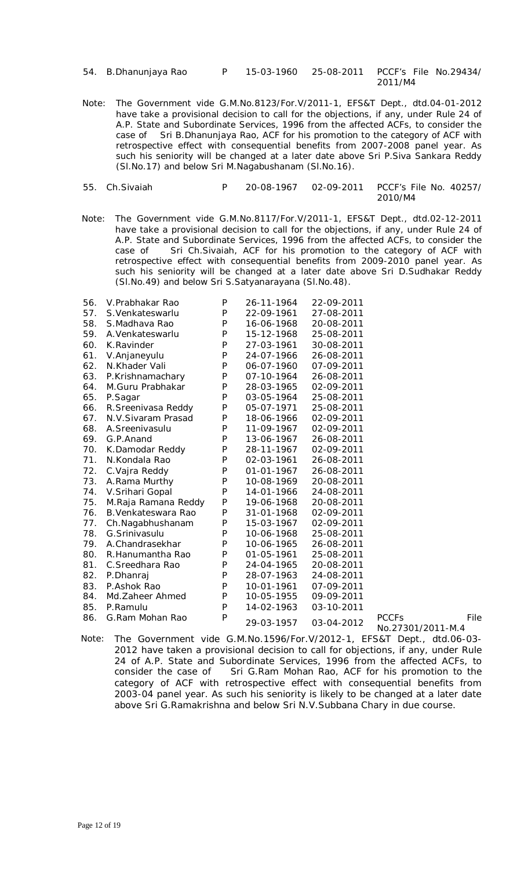| 54. | B.Dhanunjaya Rao |  |
|-----|------------------|--|
|-----|------------------|--|

P 15-03-1960 25-08-2011 PCCF's File No.29434/ 2011/M4

Note: The Government vide G.M.No.8123/For.V/2011-1, EFS&T Dept., dtd.04-01-2012 have take a provisional decision to call for the objections, if any, under Rule 24 of A.P. State and Subordinate Services, 1996 from the affected ACFs, to consider the case of Sri B.Dhanunjaya Rao, ACF for his promotion to the category of ACF with retrospective effect with consequential benefits from 2007-2008 panel year. As such his seniority will be changed at a later date above Sri P.Siva Sankara Reddy (Sl.No.17) and below Sri M.Nagabushanam (Sl.No.16).

| 55. Ch.Sivaiah |  | 20-08-1967    Q2-09-2011    PCCF's File No. 40257/ |
|----------------|--|----------------------------------------------------|
|                |  | 2010/M4                                            |

Note: The Government vide G.M.No.8117/For.V/2011-1, EFS&T Dept., dtd.02-12-2011 have take a provisional decision to call for the objections, if any, under Rule 24 of A.P. State and Subordinate Services, 1996 from the affected ACFs, to consider the case of Sri Ch.Sivaiah, ACF for his promotion to the category of ACF with retrospective effect with consequential benefits from 2009-2010 panel year. As such his seniority will be changed at a later date above Sri D.Sudhakar Reddy (Sl.No.49) and below Sri S.Satyanarayana (Sl.No.48).

| 56. | V.Prabhakar Rao     | P | 26-11-1964 | 22-09-2011 |                                   |      |
|-----|---------------------|---|------------|------------|-----------------------------------|------|
| 57. | S. Venkateswarlu    | P | 22-09-1961 | 27-08-2011 |                                   |      |
| 58. | S.Madhava Rao       | P | 16-06-1968 | 20-08-2011 |                                   |      |
| 59. | A. Venkateswarlu    | P | 15-12-1968 | 25-08-2011 |                                   |      |
| 60. | K.Ravinder          | P | 27-03-1961 | 30-08-2011 |                                   |      |
| 61. | V.Anjaneyulu        | P | 24-07-1966 | 26-08-2011 |                                   |      |
| 62. | N.Khader Vali       | P | 06-07-1960 | 07-09-2011 |                                   |      |
| 63. | P.Krishnamachary    | P | 07-10-1964 | 26-08-2011 |                                   |      |
| 64. | M.Guru Prabhakar    | P | 28-03-1965 | 02-09-2011 |                                   |      |
| 65. | P.Sagar             | P | 03-05-1964 | 25-08-2011 |                                   |      |
| 66. | R.Sreenivasa Reddy  | P | 05-07-1971 | 25-08-2011 |                                   |      |
| 67. | N.V. Sivaram Prasad | P | 18-06-1966 | 02-09-2011 |                                   |      |
| 68. | A.Sreenivasulu      | P | 11-09-1967 | 02-09-2011 |                                   |      |
| 69. | G.P.Anand           | P | 13-06-1967 | 26-08-2011 |                                   |      |
| 70. | K.Damodar Reddy     | P | 28-11-1967 | 02-09-2011 |                                   |      |
| 71. | N.Kondala Rao       | P | 02-03-1961 | 26-08-2011 |                                   |      |
| 72. | C.Vajra Reddy       | P | 01-01-1967 | 26-08-2011 |                                   |      |
| 73. | A.Rama Murthy       | P | 10-08-1969 | 20-08-2011 |                                   |      |
| 74. | V.Srihari Gopal     | P | 14-01-1966 | 24-08-2011 |                                   |      |
| 75. | M.Raja Ramana Reddy | P | 19-06-1968 | 20-08-2011 |                                   |      |
| 76. | B. Venkateswara Rao | P | 31-01-1968 | 02-09-2011 |                                   |      |
| 77. | Ch.Nagabhushanam    | P | 15-03-1967 | 02-09-2011 |                                   |      |
| 78. | G.Srinivasulu       | P | 10-06-1968 | 25-08-2011 |                                   |      |
| 79. | A.Chandrasekhar     | P | 10-06-1965 | 26-08-2011 |                                   |      |
| 80. | R.Hanumantha Rao    | P | 01-05-1961 | 25-08-2011 |                                   |      |
| 81. | C.Sreedhara Rao     | P | 24-04-1965 | 20-08-2011 |                                   |      |
| 82. | P.Dhanraj           | P | 28-07-1963 | 24-08-2011 |                                   |      |
| 83. | P.Ashok Rao         | P | 10-01-1961 | 07-09-2011 |                                   |      |
| 84. | Md.Zaheer Ahmed     | P | 10-05-1955 | 09-09-2011 |                                   |      |
| 85. | P.Ramulu            | P | 14-02-1963 | 03-10-2011 |                                   |      |
| 86. | G.Ram Mohan Rao     | P | 29-03-1957 | 03-04-2012 | <b>PCCFs</b><br>No.27301/2011-M.4 | File |

Note: The Government vide G.M.No.1596/For.V/2012-1, EFS&T Dept., dtd.06-03- 2012 have taken a provisional decision to call for objections, if any, under Rule 24 of A.P. State and Subordinate Services, 1996 from the affected ACFs, to consider the case of Sri G.Ram Mohan Rao, ACF for his promotion to the category of ACF with retrospective effect with consequential benefits from 2003-04 panel year. As such his seniority is likely to be changed at a later date above Sri G.Ramakrishna and below Sri N.V.Subbana Chary in due course.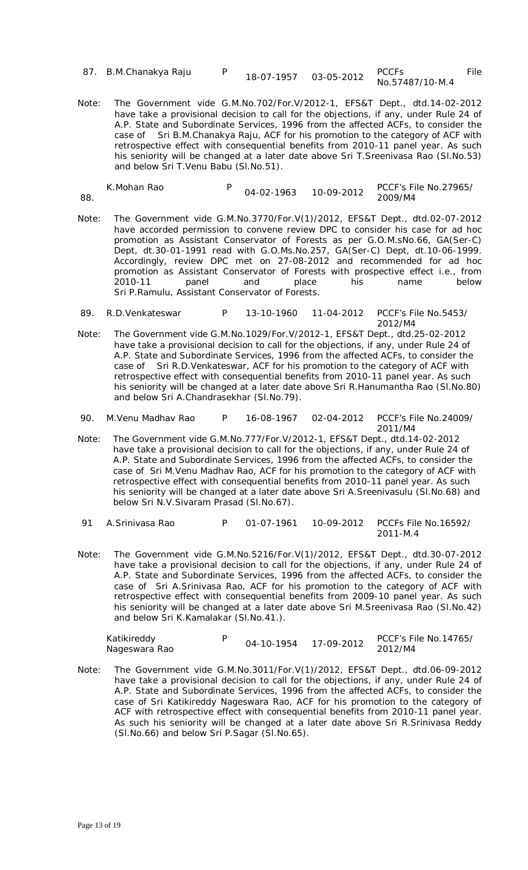| 87. B.M.Chanakya Raju |  |  |
|-----------------------|--|--|
|-----------------------|--|--|

Note: The Government vide G.M.No.702/For.V/2012-1, EFS&T Dept., dtd.14-02-2012 have take a provisional decision to call for the objections, if any, under Rule 24 of A.P. State and Subordinate Services, 1996 from the affected ACFs, to consider the case of Sri B.M.Chanakya Raju, ACF for his promotion to the category of ACF with retrospective effect with consequential benefits from 2010-11 panel year. As such his seniority will be changed at a later date above Sri T.Sreenivasa Rao (Sl.No.53) and below Sri T.Venu Babu (Sl.No.51).

| K.Mohan Rao | 04-02-1963 | 10-09-2012 | PCCF's File No.27965/ |
|-------------|------------|------------|-----------------------|
| 88.         |            |            | 2009/M4               |

- Note: The Government vide G.M.No.3770/For.V(1)/2012, EFS&T Dept., dtd.02-07-2012 have accorded permission to convene review DPC to consider his case for *ad hoc*  promotion as Assistant Conservator of Forests as per G.O.M.sNo.66, GA(Ser-C) Dept, dt.30-01-1991 read with G.O.Ms.No.257, GA(Ser-C) Dept, dt.10-06-1999. Accordingly, review DPC met on 27-08-2012 and recommended for *ad hoc*  promotion as Assistant Conservator of Forests with prospective effect i.e., from 2010-11 panel and place his name below Sri P.Ramulu, Assistant Conservator of Forests.
- 89. R.D.Venkateswar P 13-10-1960 11-04-2012 PCCF's File No.5453/ 2012/M4
- Note: The Government vide G.M.No.1029/For.V/2012-1, EFS&T Dept., dtd.25-02-2012 have take a provisional decision to call for the objections, if any, under Rule 24 of A.P. State and Subordinate Services, 1996 from the affected ACFs, to consider the case of Sri R.D.Venkateswar, ACF for his promotion to the category of ACF with retrospective effect with consequential benefits from 2010-11 panel year. As such his seniority will be changed at a later date above Sri R.Hanumantha Rao (Sl.No.80) and below Sri A.Chandrasekhar (Sl.No.79).
- 90. M.Venu Madhav Rao P 16-08-1967 02-04-2012 PCCF's File No.24009/ 2011/M4
- Note: The Government vide G.M.No.777/For.V/2012-1, EFS&T Dept., dtd.14-02-2012 have take a provisional decision to call for the objections, if any, under Rule 24 of A.P. State and Subordinate Services, 1996 from the affected ACFs, to consider the case of Sri M.Venu Madhav Rao, ACF for his promotion to the category of ACF with retrospective effect with consequential benefits from 2010-11 panel year. As such his seniority will be changed at a later date above Sri A.Sreenivasulu (Sl.No.68) and below Sri N.V.Sivaram Prasad (Sl.No.67).
- 91 A.Srinivasa Rao P 01-07-1961 10-09-2012 PCCFs File No.16592/ 2011-M.4
- Note: The Government vide G.M.No.5216/For.V(1)/2012, EFS&T Dept., dtd.30-07-2012 have take a provisional decision to call for the objections, if any, under Rule 24 of A.P. State and Subordinate Services, 1996 from the affected ACFs, to consider the case of Sri A.Srinivasa Rao, ACF for his promotion to the category of ACF with retrospective effect with consequential benefits from 2009-10 panel year. As such his seniority will be changed at a later date above Sri M.Sreenivasa Rao (Sl.No.42) and below Sri K.Kamalakar (Sl.No.41.).

| Katikireddy   | 04-10-1954 17-09-2012 | PCCF's File No.14765/ |
|---------------|-----------------------|-----------------------|
| Nageswara Rao |                       | 2012/M4               |

Note: The Government vide G.M.No.3011/For.V(1)/2012, EFS&T Dept., dtd.06-09-2012 have take a provisional decision to call for the objections, if any, under Rule 24 of A.P. State and Subordinate Services, 1996 from the affected ACFs, to consider the case of Sri Katikireddy Nageswara Rao, ACF for his promotion to the category of ACF with retrospective effect with consequential benefits from 2010-11 panel year. As such his seniority will be changed at a later date above Sri R.Srinivasa Reddy (Sl.No.66) and below Sri P.Sagar (Sl.No.65).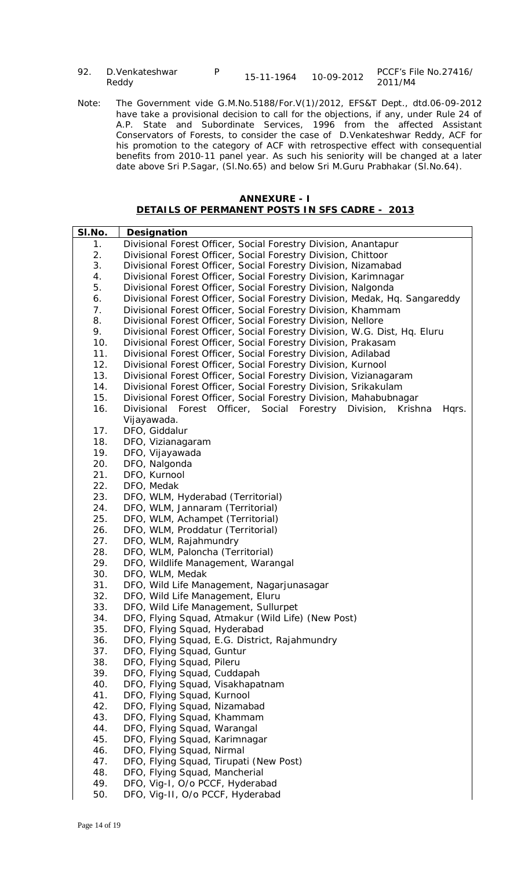| 92. D. Venkateshwar | 15-11-1964 | 10-09-2012 | PCCF's File No.27416/ |
|---------------------|------------|------------|-----------------------|
| Reddy               |            |            | 2011/M4               |

Note: The Government vide G.M.No.5188/For.V(1)/2012, EFS&T Dept., dtd.06-09-2012 have take a provisional decision to call for the objections, if any, under Rule 24 of A.P. State and Subordinate Services, 1996 from the affected Assistant Conservators of Forests, to consider the case of D.Venkateshwar Reddy, ACF for his promotion to the category of ACF with retrospective effect with consequential benefits from 2010-11 panel year. As such his seniority will be changed at a later date above Sri P.Sagar, (Sl.No.65) and below Sri M.Guru Prabhakar (Sl.No.64).

| <b>ANNEXURE - I</b>                                   |  |
|-------------------------------------------------------|--|
| <b>DETAILS OF PERMANENT POSTS IN SFS CADRE - 2013</b> |  |

| SI.No. | Designation                                                                       |
|--------|-----------------------------------------------------------------------------------|
| 1.     | Divisional Forest Officer, Social Forestry Division, Anantapur                    |
| 2.     | Divisional Forest Officer, Social Forestry Division, Chittoor                     |
| 3.     | Divisional Forest Officer, Social Forestry Division, Nizamabad                    |
| 4.     | Divisional Forest Officer, Social Forestry Division, Karimnagar                   |
| 5.     | Divisional Forest Officer, Social Forestry Division, Nalgonda                     |
| 6.     | Divisional Forest Officer, Social Forestry Division, Medak, Hq. Sangareddy        |
| 7.     | Divisional Forest Officer, Social Forestry Division, Khammam                      |
| 8.     | Divisional Forest Officer, Social Forestry Division, Nellore                      |
| 9.     | Divisional Forest Officer, Social Forestry Division, W.G. Dist, Hq. Eluru         |
| 10.    | Divisional Forest Officer, Social Forestry Division, Prakasam                     |
| 11.    | Divisional Forest Officer, Social Forestry Division, Adilabad                     |
| 12.    | Divisional Forest Officer, Social Forestry Division, Kurnool                      |
| 13.    | Divisional Forest Officer, Social Forestry Division, Vizianagaram                 |
| 14.    | Divisional Forest Officer, Social Forestry Division, Srikakulam                   |
| 15.    | Divisional Forest Officer, Social Forestry Division, Mahabubnagar                 |
| 16.    | Divisional Forest Officer,<br>Social<br>Forestry<br>Division,<br>Krishna<br>Hqrs. |
|        | Vijayawada.                                                                       |
| 17.    | DFO, Giddalur                                                                     |
| 18.    | DFO, Vizianagaram                                                                 |
| 19.    | DFO, Vijayawada                                                                   |
| 20.    | DFO, Nalgonda                                                                     |
| 21.    | DFO, Kurnool                                                                      |
| 22.    | DFO, Medak                                                                        |
| 23.    | DFO, WLM, Hyderabad (Territorial)                                                 |
| 24.    | DFO, WLM, Jannaram (Territorial)                                                  |
| 25.    | DFO, WLM, Achampet (Territorial)                                                  |
| 26.    | DFO, WLM, Proddatur (Territorial)                                                 |
| 27.    | DFO, WLM, Rajahmundry                                                             |
| 28.    | DFO, WLM, Paloncha (Territorial)                                                  |
| 29.    | DFO, Wildlife Management, Warangal                                                |
| 30.    | DFO, WLM, Medak                                                                   |
| 31.    | DFO, Wild Life Management, Nagarjunasagar                                         |
| 32.    | DFO, Wild Life Management, Eluru                                                  |
| 33.    | DFO, Wild Life Management, Sullurpet                                              |
| 34.    | DFO, Flying Squad, Atmakur (Wild Life) (New Post)                                 |
| 35.    | DFO, Flying Squad, Hyderabad                                                      |
| 36.    | DFO, Flying Squad, E.G. District, Rajahmundry                                     |
| 37.    | DFO, Flying Squad, Guntur                                                         |
| 38.    | DFO, Flying Squad, Pileru                                                         |
| 39.    | DFO, Flying Squad, Cuddapah                                                       |
| 40.    | DFO, Flying Squad, Visakhapatnam                                                  |
| 41.    | DFO, Flying Squad, Kurnool                                                        |
| 42.    | DFO, Flying Squad, Nizamabad                                                      |
| 43.    | DFO, Flying Squad, Khammam                                                        |
| 44.    | DFO, Flying Squad, Warangal                                                       |
| 45.    | DFO, Flying Squad, Karimnagar                                                     |
| 46.    | DFO, Flying Squad, Nirmal                                                         |
| 47.    | DFO, Flying Squad, Tirupati (New Post)                                            |
| 48.    | DFO, Flying Squad, Mancherial                                                     |
| 49.    | DFO, Vig-I, O/o PCCF, Hyderabad                                                   |
| 50.    | DFO, Vig-II, O/o PCCF, Hyderabad                                                  |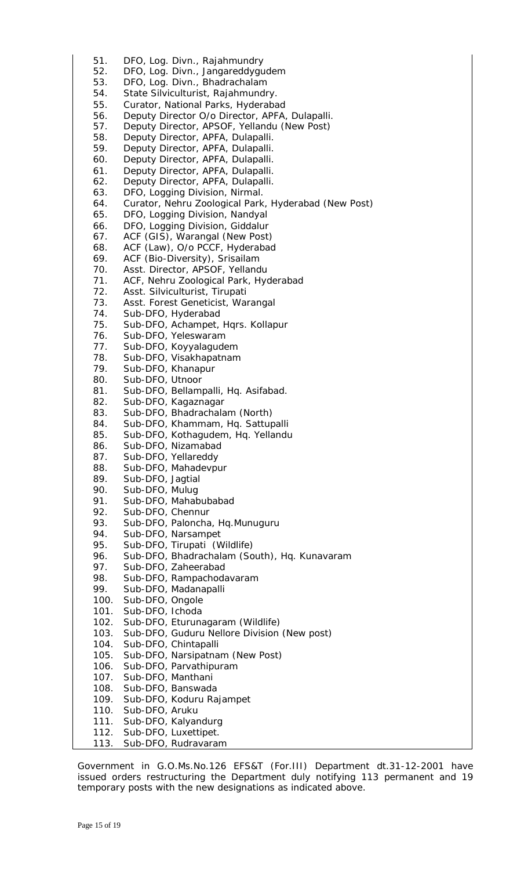51. DFO, Log. Divn., Rajahmundry 52. DFO, Log. Divn., Jangareddygudem 53. DFO, Log. Divn., Bhadrachalam 54. State Silviculturist, Rajahmundry. 55. Curator, National Parks, Hyderabad 56. Deputy Director O/o Director, APFA, Dulapalli. 57. Deputy Director, APSOF, Yellandu (New Post) 58. Deputy Director, APFA, Dulapalli. 59. Deputy Director, APFA, Dulapalli. 60. Deputy Director, APFA, Dulapalli. 61. Deputy Director, APFA, Dulapalli. 62. Deputy Director, APFA, Dulapalli. 63. DFO, Logging Division, Nirmal. 64. Curator, Nehru Zoological Park, Hyderabad (New Post) 65. DFO, Logging Division, Nandyal 66. DFO, Logging Division, Giddalur 67. ACF (GIS), Warangal (New Post) 68. ACF (Law), O/o PCCF, Hyderabad 69. ACF (Bio-Diversity), Srisailam 70. Asst. Director, APSOF, Yellandu 71. ACF, Nehru Zoological Park, Hyderabad 72. Asst. Silviculturist, Tirupati 73. Asst. Forest Geneticist, Warangal 74. Sub-DFO, Hyderabad 75. Sub-DFO, Achampet, Hqrs. Kollapur 76. Sub-DFO, Yeleswaram 77. Sub-DFO, Koyyalagudem 78. Sub-DFO, Visakhapatnam 79. Sub-DFO, Khanapur 80. Sub-DFO, Utnoor 81. Sub-DFO, Bellampalli, Hq. Asifabad. 82. Sub-DFO, Kagaznagar 83. Sub-DFO, Bhadrachalam (North) 84. Sub-DFO, Khammam, Hq. Sattupalli 85. Sub-DFO, Kothagudem, Hq. Yellandu 86. Sub-DFO, Nizamabad 87. Sub-DFO, Yellareddy 88. Sub-DFO, Mahadevpur 89. Sub-DFO, Jagtial 90. Sub-DFO, Mulug 91. Sub-DFO, Mahabubabad 92. Sub-DFO, Chennur 93. Sub-DFO, Paloncha, Hq.Munuguru 94. Sub-DFO, Narsampet 95. Sub-DFO, Tirupati (Wildlife) 96. Sub-DFO, Bhadrachalam (South), Hq. Kunavaram 97. Sub-DFO, Zaheerabad 98. Sub-DFO, Rampachodavaram 99. Sub-DFO, Madanapalli 100. Sub-DFO, Ongole 101. Sub-DFO, Ichoda 102. Sub-DFO, Eturunagaram (Wildlife) 103. Sub-DFO, Guduru Nellore Division (New post) Sub-DFO, Chintapalli 105. Sub-DFO, Narsipatnam (New Post) 106. Sub-DFO, Parvathipuram 107. Sub-DFO, Manthani<br>108. Sub-DFO, Banswada Sub-DFO, Banswada 109. Sub-DFO, Koduru Rajampet 110. Sub-DFO, Aruku 111. Sub-DFO, Kalyandurg 112. Sub-DFO, Luxettipet. 113. Sub-DFO, Rudravaram

Government in G.O.Ms.No.126 EFS&T (For.III) Department dt.31-12-2001 have issued orders restructuring the Department duly notifying 113 permanent and 19 temporary posts with the new designations as indicated above.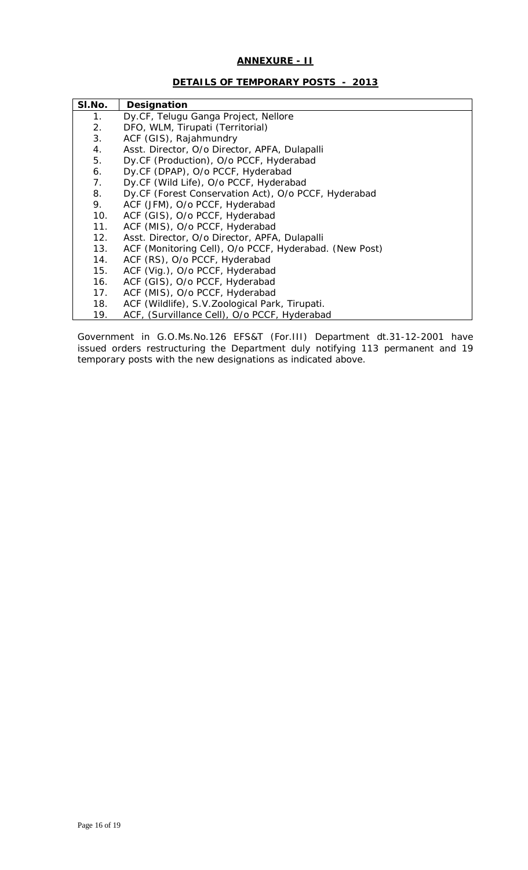# **ANNEXURE - II**

# **DETAILS OF TEMPORARY POSTS - 2013**

| SI.No. | Designation                                            |
|--------|--------------------------------------------------------|
| 1.     | Dy.CF, Telugu Ganga Project, Nellore                   |
| 2.     | DFO, WLM, Tirupati (Territorial)                       |
| 3.     | ACF (GIS), Rajahmundry                                 |
| 4.     | Asst. Director, O/o Director, APFA, Dulapalli          |
| 5.     | Dy.CF (Production), O/o PCCF, Hyderabad                |
| 6.     | Dy.CF (DPAP), O/o PCCF, Hyderabad                      |
| 7.     | Dy.CF (Wild Life), O/o PCCF, Hyderabad                 |
| 8.     | Dy.CF (Forest Conservation Act), O/o PCCF, Hyderabad   |
| 9.     | ACF (JFM), O/o PCCF, Hyderabad                         |
| 10.    | ACF (GIS), O/o PCCF, Hyderabad                         |
| 11.    | ACF (MIS), O/o PCCF, Hyderabad                         |
| 12.    | Asst. Director, O/o Director, APFA, Dulapalli          |
| 13.    | ACF (Monitoring Cell), O/o PCCF, Hyderabad. (New Post) |
| 14.    | ACF (RS), O/o PCCF, Hyderabad                          |
| 15.    | ACF (Vig.), O/o PCCF, Hyderabad                        |
| 16.    | ACF (GIS), O/o PCCF, Hyderabad                         |
| 17.    | ACF (MIS), O/o PCCF, Hyderabad                         |
| 18.    | ACF (Wildlife), S.V. Zoological Park, Tirupati.        |
| 19.    | ACF, (Survillance Cell), O/o PCCF, Hyderabad           |

Government in G.O.Ms.No.126 EFS&T (For.III) Department dt.31-12-2001 have issued orders restructuring the Department duly notifying 113 permanent and 19 temporary posts with the new designations as indicated above.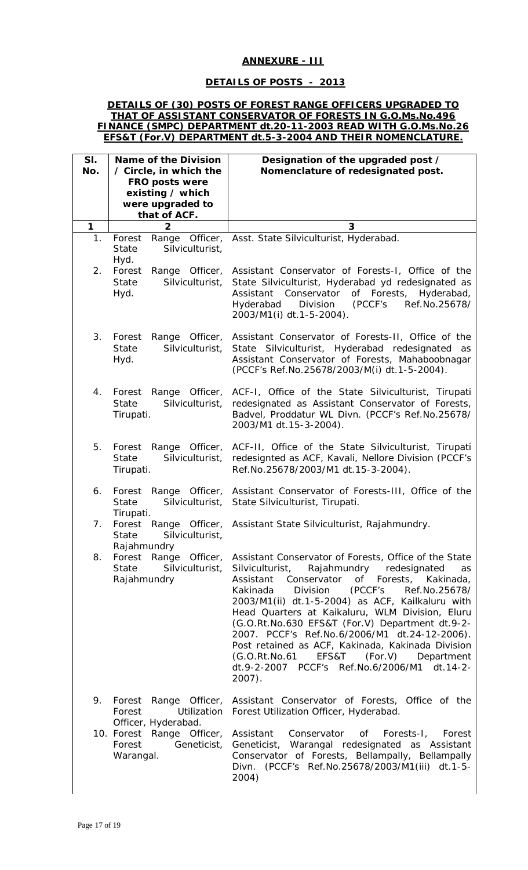# **ANNEXURE - III**

# **DETAILS OF POSTS - 2013**

### **DETAILS OF (30) POSTS OF FOREST RANGE OFFICERS UPGRADED TO THAT OF ASSISTANT CONSERVATOR OF FORESTS IN G.O.Ms.No.496 FINANCE (SMPC) DEPARTMENT dt.20-11-2003 READ WITH G.O.Ms.No.26 EFS&T (For.V) DEPARTMENT dt.5-3-2004 AND THEIR NOMENCLATURE.**

| SI.<br>No.  | <b>Name of the Division</b><br>/ Circle, in which the<br>FRO posts were<br>existing / which<br>were upgraded to<br>that of ACF. | Designation of the upgraded post /<br>Nomenclature of redesignated post.                                                                                                                                                                                                                                                                                                                                                                                                                                                                                                                             |
|-------------|---------------------------------------------------------------------------------------------------------------------------------|------------------------------------------------------------------------------------------------------------------------------------------------------------------------------------------------------------------------------------------------------------------------------------------------------------------------------------------------------------------------------------------------------------------------------------------------------------------------------------------------------------------------------------------------------------------------------------------------------|
| $\mathbf 1$ | $\overline{\mathbf{2}}$                                                                                                         | 3                                                                                                                                                                                                                                                                                                                                                                                                                                                                                                                                                                                                    |
| 1.          | Forest<br>Officer,<br>Range<br><b>State</b><br>Silviculturist,<br>Hyd.                                                          | Asst. State Silviculturist, Hyderabad.                                                                                                                                                                                                                                                                                                                                                                                                                                                                                                                                                               |
| 2.          | Forest<br>Range<br>Officer,<br>Silviculturist,<br><b>State</b><br>Hyd.                                                          | Assistant Conservator of Forests-1, Office of the<br>State Silviculturist, Hyderabad yd redesignated as<br>Conservator<br>of Forests,<br>Assistant<br>Hyderabad,<br>Division<br>(PCCF's<br>Hyderabad<br>Ref.No.25678/<br>2003/M1(i) dt.1-5-2004).                                                                                                                                                                                                                                                                                                                                                    |
| 3.          | Officer,<br>Forest<br>Range<br>Silviculturist,<br><b>State</b><br>Hyd.                                                          | Assistant Conservator of Forests-II, Office of the<br>State Silviculturist, Hyderabad redesignated<br>as<br>Assistant Conservator of Forests, Mahaboobnagar<br>(PCCF's Ref.No.25678/2003/M(i) dt.1-5-2004).                                                                                                                                                                                                                                                                                                                                                                                          |
| 4.          | Forest<br>Range<br>Officer,<br>Silviculturist,<br><b>State</b><br>Tirupati.                                                     | ACF-I, Office of the State Silviculturist, Tirupati<br>redesignated as Assistant Conservator of Forests,<br>Badvel, Proddatur WL Divn. (PCCF's Ref.No.25678/<br>2003/M1 dt.15-3-2004).                                                                                                                                                                                                                                                                                                                                                                                                               |
| 5.          | Forest<br>Range<br>Officer,<br><b>State</b><br>Silviculturist,<br>Tirupati.                                                     | ACF-II, Office of the State Silviculturist, Tirupati<br>redesignted as ACF, Kavali, Nellore Division (PCCF's<br>Ref.No.25678/2003/M1 dt.15-3-2004).                                                                                                                                                                                                                                                                                                                                                                                                                                                  |
| 6.          | Forest<br>Officer,<br>Range<br><b>State</b><br>Silviculturist,<br>Tirupati.                                                     | Assistant Conservator of Forests-III, Office of the<br>State Silviculturist, Tirupati.                                                                                                                                                                                                                                                                                                                                                                                                                                                                                                               |
| 7.          | Forest<br>Range<br>Officer,<br>State<br>Silviculturist,<br>Rajahmundry                                                          | Assistant State Silviculturist, Rajahmundry.                                                                                                                                                                                                                                                                                                                                                                                                                                                                                                                                                         |
| 8.          | Forest Range Officer,<br>Silviculturist,<br><b>State</b><br>Rajahmundry                                                         | Assistant Conservator of Forests, Office of the State<br>Rajahmundry redesignated<br>Silviculturist,<br>as<br>of Forests,<br>Conservator<br>Kakinada,<br>Assistant<br>Division<br>(PCCF's<br>Kakinada<br>Ref.No.25678/<br>2003/M1(ii) dt.1-5-2004) as ACF, Kailkaluru with<br>Head Quarters at Kaikaluru, WLM Division, Eluru<br>(G.O.Rt.No.630 EFS&T (For.V) Department dt.9-2-<br>2007. PCCF's Ref.No.6/2006/M1 dt.24-12-2006).<br>Post retained as ACF, Kakinada, Kakinada Division<br>EFS&T<br>(For.V)<br>(G.O.Rt.No.61)<br>Department<br>dt.9-2-2007 PCCF's Ref.No.6/2006/M1 dt.14-2-<br>2007). |
| 9.          | Forest<br>Forest<br>Utilization<br>Officer, Hyderabad.                                                                          | Range Officer, Assistant Conservator of Forests, Office of the<br>Forest Utilization Officer, Hyderabad.                                                                                                                                                                                                                                                                                                                                                                                                                                                                                             |
|             | 10. Forest Range Officer,<br>Forest<br>Geneticist,<br>Warangal.                                                                 | Assistant<br>Conservator<br>Forests-I,<br>of<br>Forest<br>Geneticist, Warangal redesignated as Assistant<br>Conservator of Forests, Bellampally, Bellampally<br>Divn. (PCCF's Ref.No.25678/2003/M1(iii) dt.1-5-<br>2004)                                                                                                                                                                                                                                                                                                                                                                             |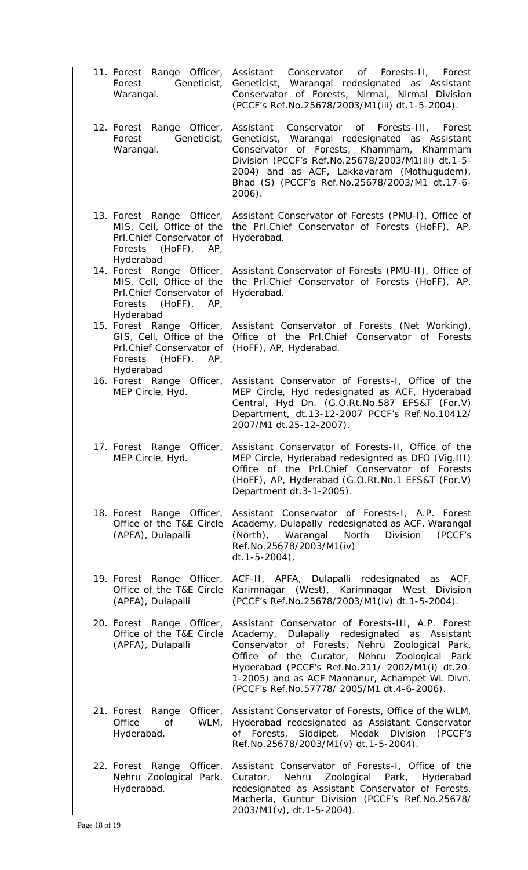| 11. Forest Range Officer,<br>Geneticist,<br>Forest<br>Warangal.                                                             | Assistant<br>Conservator of Forests-II, Forest<br>Geneticist, Warangal redesignated as Assistant<br>Conservator of Forests, Nirmal, Nirmal Division<br>(PCCF's Ref.No.25678/2003/M1(iii) dt.1-5-2004).                                                                                                                                                  |
|-----------------------------------------------------------------------------------------------------------------------------|---------------------------------------------------------------------------------------------------------------------------------------------------------------------------------------------------------------------------------------------------------------------------------------------------------------------------------------------------------|
| 12. Forest Range Officer,<br>Geneticist,<br>Forest<br>Warangal.                                                             | Conservator of Forests-III, Forest<br>Assistant<br>Geneticist, Warangal redesignated as Assistant<br>Conservator of Forests, Khammam, Khammam<br>Division (PCCF's Ref.No.25678/2003/M1(iii) dt.1-5-<br>2004) and as ACF, Lakkavaram (Mothugudem),<br>Bhad (S) (PCCF's Ref.No.25678/2003/M1 dt.17-6-<br>2006).                                           |
| 13. Forest Range Officer,<br>MIS, Cell, Office of the<br>Prl.Chief Conservator of<br>Forests<br>$(HoFF)$ , AP,<br>Hyderabad | Assistant Conservator of Forests (PMU-I), Office of<br>the Prl.Chief Conservator of Forests (HoFF), AP,<br>Hyderabad.                                                                                                                                                                                                                                   |
| 14. Forest Range Officer,<br>MIS, Cell, Office of the<br>Prl.Chief Conservator of<br>Forests (HoFF), AP,<br>Hyderabad       | Assistant Conservator of Forests (PMU-II), Office of<br>the Prl.Chief Conservator of Forests (HoFF), AP,<br>Hyderabad.                                                                                                                                                                                                                                  |
| 15. Forest Range Officer,<br>GIS, Cell, Office of the<br>Prl.Chief Conservator of<br>Forests (HoFF), AP,<br>Hyderabad       | Assistant Conservator of Forests (Net Working),<br>Office of the Prl.Chief Conservator of Forests<br>(HoFF), AP, Hyderabad.                                                                                                                                                                                                                             |
| 16. Forest Range Officer,<br>MEP Circle, Hyd.                                                                               | Assistant Conservator of Forests-1, Office of the<br>MEP Circle, Hyd redesignated as ACF, Hyderabad<br>Central, Hyd Dn. (G.O.Rt.No.587 EFS&T (For.V)<br>Department, dt.13-12-2007 PCCF's Ref.No.10412/<br>2007/M1 dt.25-12-2007).                                                                                                                       |
| 17. Forest Range Officer,<br>MEP Circle, Hyd.                                                                               | Assistant Conservator of Forests-II, Office of the<br>MEP Circle, Hyderabad redesignted as DFO (Vig.III)<br>Office of the Prl.Chief Conservator of Forests<br>(HoFF), AP, Hyderabad (G.O.Rt.No.1 EFS&T (For.V)<br>Department dt.3-1-2005).                                                                                                              |
| 18. Forest Range Officer,<br>Office of the T&E Circle<br>(APFA), Dulapalli                                                  | Assistant Conservator of Forests-I, A.P. Forest<br>Academy, Dulapally redesignated as ACF, Warangal<br>Warangal<br>North<br>(North),<br>Division<br>(PCCF's<br>Ref.No.25678/2003/M1(iv)<br>$dt.1 - 5 - 2004$ ).                                                                                                                                         |
| 19. Forest Range Officer,<br>Office of the T&E Circle<br>(APFA), Dulapalli                                                  | ACF-II, APFA, Dulapalli redesignated as ACF,<br>Karimnagar (West), Karimnagar West Division<br>(PCCF's Ref.No.25678/2003/M1(iv) dt.1-5-2004).                                                                                                                                                                                                           |
| 20. Forest Range Officer,<br>Office of the T&E Circle<br>(APFA), Dulapalli                                                  | Assistant Conservator of Forests-III, A.P. Forest<br>Academy, Dulapally redesignated as Assistant<br>Conservator of Forests, Nehru Zoological Park,<br>Office of the Curator, Nehru Zoological Park<br>Hyderabad (PCCF's Ref.No.211/ 2002/M1(i) dt.20-<br>1-2005) and as ACF Mannanur, Achampet WL Divn.<br>(PCCF's Ref.No.57778/ 2005/M1 dt.4-6-2006). |
| Officer,<br>21. Forest Range<br>Office<br>of<br>WLM,<br>Hyderabad.                                                          | Assistant Conservator of Forests, Office of the WLM,<br>Hyderabad redesignated as Assistant Conservator<br>of Forests, Siddipet, Medak Division<br>(PCCF's<br>Ref.No.25678/2003/M1(v) dt.1-5-2004).                                                                                                                                                     |
| 22. Forest Range<br>Officer,<br>Nehru Zoological Park,<br>Hyderabad.                                                        | Assistant Conservator of Forests-I, Office of the<br>Zoological Park,<br>Nehru<br>Hyderabad<br>Curator,<br>redesignated as Assistant Conservator of Forests,<br>Macherla, Guntur Division (PCCF's Ref.No.25678/<br>2003/M1(v), dt.1-5-2004).                                                                                                            |